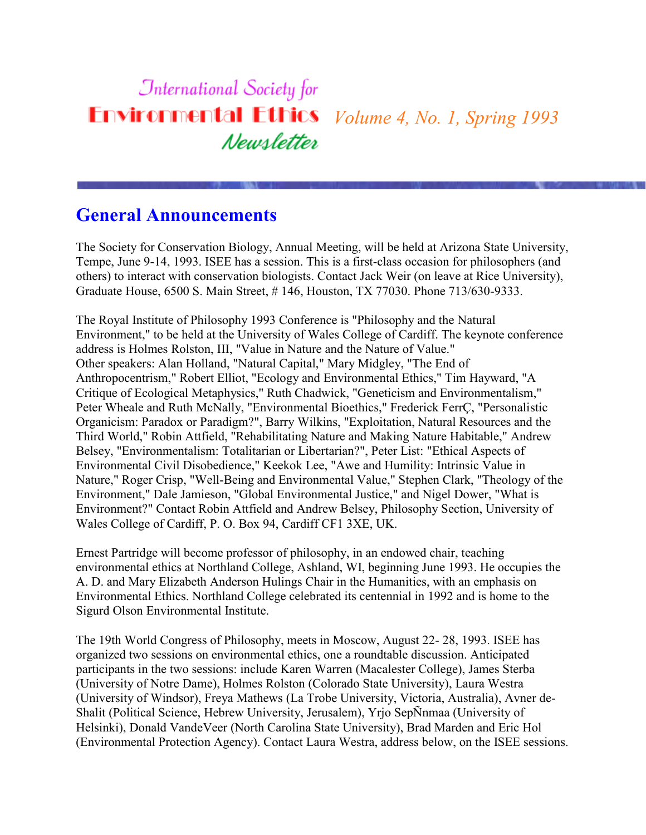### **International Society for Environmental Ethics** *Volume 4, No. 1, Spring 1993* Newsletter

## **General Announcements**

The Society for Conservation Biology, Annual Meeting, will be held at Arizona State University, Tempe, June 9-14, 1993. ISEE has a session. This is a first-class occasion for philosophers (and others) to interact with conservation biologists. Contact Jack Weir (on leave at Rice University), Graduate House, 6500 S. Main Street, # 146, Houston, TX 77030. Phone 713/630-9333.

The Royal Institute of Philosophy 1993 Conference is "Philosophy and the Natural Environment," to be held at the University of Wales College of Cardiff. The keynote conference address is Holmes Rolston, III, "Value in Nature and the Nature of Value." Other speakers: Alan Holland, "Natural Capital," Mary Midgley, "The End of Anthropocentrism," Robert Elliot, "Ecology and Environmental Ethics," Tim Hayward, "A Critique of Ecological Metaphysics," Ruth Chadwick, "Geneticism and Environmentalism," Peter Wheale and Ruth McNally, "Environmental Bioethics," Frederick FerrÇ, "Personalistic Organicism: Paradox or Paradigm?", Barry Wilkins, "Exploitation, Natural Resources and the Third World," Robin Attfield, "Rehabilitating Nature and Making Nature Habitable," Andrew Belsey, "Environmentalism: Totalitarian or Libertarian?", Peter List: "Ethical Aspects of Environmental Civil Disobedience," Keekok Lee, "Awe and Humility: Intrinsic Value in Nature," Roger Crisp, "Well-Being and Environmental Value," Stephen Clark, "Theology of the Environment," Dale Jamieson, "Global Environmental Justice," and Nigel Dower, "What is Environment?" Contact Robin Attfield and Andrew Belsey, Philosophy Section, University of Wales College of Cardiff, P. O. Box 94, Cardiff CF1 3XE, UK.

Ernest Partridge will become professor of philosophy, in an endowed chair, teaching environmental ethics at Northland College, Ashland, WI, beginning June 1993. He occupies the A. D. and Mary Elizabeth Anderson Hulings Chair in the Humanities, with an emphasis on Environmental Ethics. Northland College celebrated its centennial in 1992 and is home to the Sigurd Olson Environmental Institute.

The 19th World Congress of Philosophy, meets in Moscow, August 22- 28, 1993. ISEE has organized two sessions on environmental ethics, one a roundtable discussion. Anticipated participants in the two sessions: include Karen Warren (Macalester College), James Sterba (University of Notre Dame), Holmes Rolston (Colorado State University), Laura Westra (University of Windsor), Freya Mathews (La Trobe University, Victoria, Australia), Avner de-Shalit (Political Science, Hebrew University, Jerusalem), Yrjo SepÑnmaa (University of Helsinki), Donald VandeVeer (North Carolina State University), Brad Marden and Eric Hol (Environmental Protection Agency). Contact Laura Westra, address below, on the ISEE sessions.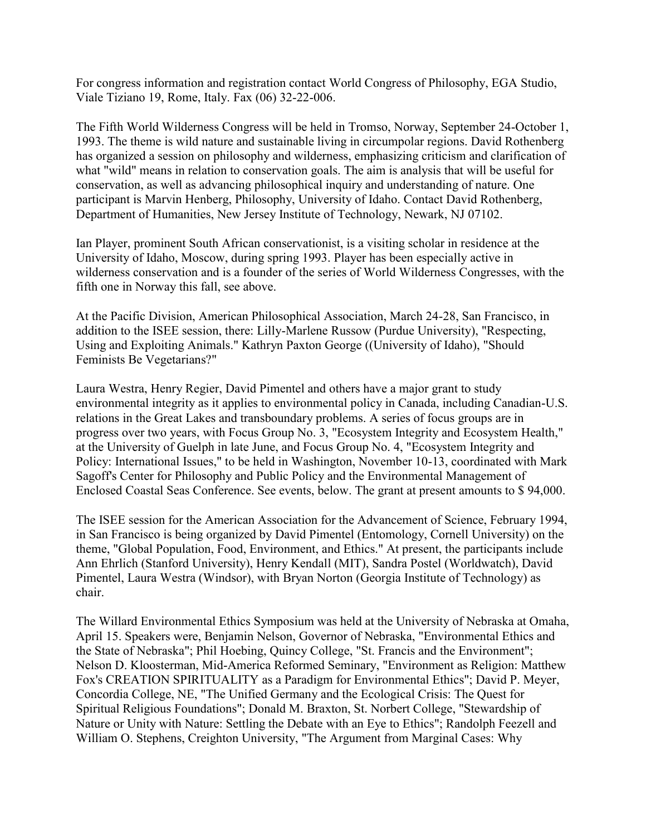For congress information and registration contact World Congress of Philosophy, EGA Studio, Viale Tiziano 19, Rome, Italy. Fax (06) 32-22-006.

The Fifth World Wilderness Congress will be held in Tromso, Norway, September 24-October 1, 1993. The theme is wild nature and sustainable living in circumpolar regions. David Rothenberg has organized a session on philosophy and wilderness, emphasizing criticism and clarification of what "wild" means in relation to conservation goals. The aim is analysis that will be useful for conservation, as well as advancing philosophical inquiry and understanding of nature. One participant is Marvin Henberg, Philosophy, University of Idaho. Contact David Rothenberg, Department of Humanities, New Jersey Institute of Technology, Newark, NJ 07102.

Ian Player, prominent South African conservationist, is a visiting scholar in residence at the University of Idaho, Moscow, during spring 1993. Player has been especially active in wilderness conservation and is a founder of the series of World Wilderness Congresses, with the fifth one in Norway this fall, see above.

At the Pacific Division, American Philosophical Association, March 24-28, San Francisco, in addition to the ISEE session, there: Lilly-Marlene Russow (Purdue University), "Respecting, Using and Exploiting Animals." Kathryn Paxton George ((University of Idaho), "Should Feminists Be Vegetarians?"

Laura Westra, Henry Regier, David Pimentel and others have a major grant to study environmental integrity as it applies to environmental policy in Canada, including Canadian-U.S. relations in the Great Lakes and transboundary problems. A series of focus groups are in progress over two years, with Focus Group No. 3, "Ecosystem Integrity and Ecosystem Health," at the University of Guelph in late June, and Focus Group No. 4, "Ecosystem Integrity and Policy: International Issues," to be held in Washington, November 10-13, coordinated with Mark Sagoff's Center for Philosophy and Public Policy and the Environmental Management of Enclosed Coastal Seas Conference. See events, below. The grant at present amounts to \$ 94,000.

The ISEE session for the American Association for the Advancement of Science, February 1994, in San Francisco is being organized by David Pimentel (Entomology, Cornell University) on the theme, "Global Population, Food, Environment, and Ethics." At present, the participants include Ann Ehrlich (Stanford University), Henry Kendall (MIT), Sandra Postel (Worldwatch), David Pimentel, Laura Westra (Windsor), with Bryan Norton (Georgia Institute of Technology) as chair.

The Willard Environmental Ethics Symposium was held at the University of Nebraska at Omaha, April 15. Speakers were, Benjamin Nelson, Governor of Nebraska, "Environmental Ethics and the State of Nebraska"; Phil Hoebing, Quincy College, "St. Francis and the Environment"; Nelson D. Kloosterman, Mid-America Reformed Seminary, "Environment as Religion: Matthew Fox's CREATION SPIRITUALITY as a Paradigm for Environmental Ethics"; David P. Meyer, Concordia College, NE, "The Unified Germany and the Ecological Crisis: The Quest for Spiritual Religious Foundations"; Donald M. Braxton, St. Norbert College, "Stewardship of Nature or Unity with Nature: Settling the Debate with an Eye to Ethics"; Randolph Feezell and William O. Stephens, Creighton University, "The Argument from Marginal Cases: Why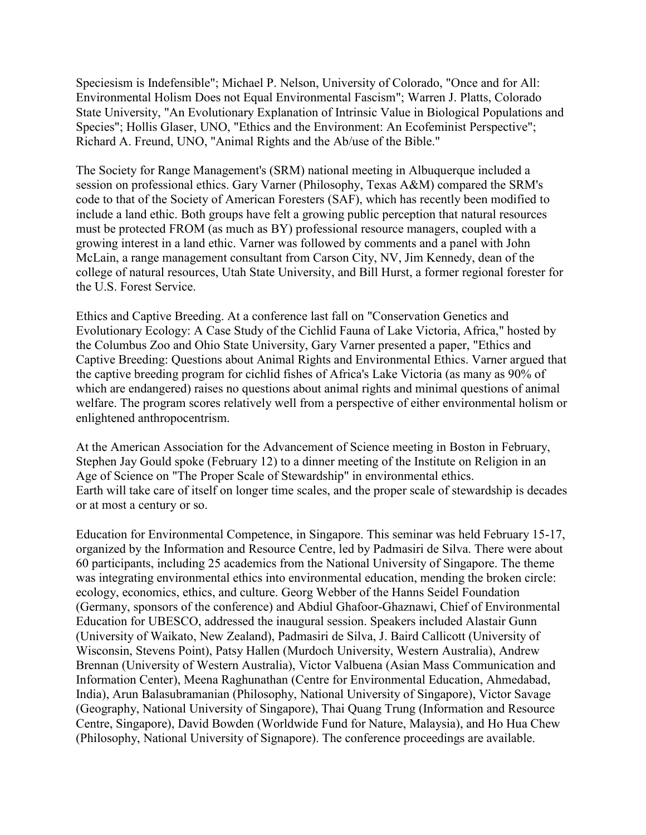Speciesism is Indefensible"; Michael P. Nelson, University of Colorado, "Once and for All: Environmental Holism Does not Equal Environmental Fascism"; Warren J. Platts, Colorado State University, "An Evolutionary Explanation of Intrinsic Value in Biological Populations and Species"; Hollis Glaser, UNO, "Ethics and the Environment: An Ecofeminist Perspective"; Richard A. Freund, UNO, "Animal Rights and the Ab/use of the Bible."

The Society for Range Management's (SRM) national meeting in Albuquerque included a session on professional ethics. Gary Varner (Philosophy, Texas A&M) compared the SRM's code to that of the Society of American Foresters (SAF), which has recently been modified to include a land ethic. Both groups have felt a growing public perception that natural resources must be protected FROM (as much as BY) professional resource managers, coupled with a growing interest in a land ethic. Varner was followed by comments and a panel with John McLain, a range management consultant from Carson City, NV, Jim Kennedy, dean of the college of natural resources, Utah State University, and Bill Hurst, a former regional forester for the U.S. Forest Service.

Ethics and Captive Breeding. At a conference last fall on "Conservation Genetics and Evolutionary Ecology: A Case Study of the Cichlid Fauna of Lake Victoria, Africa," hosted by the Columbus Zoo and Ohio State University, Gary Varner presented a paper, "Ethics and Captive Breeding: Questions about Animal Rights and Environmental Ethics. Varner argued that the captive breeding program for cichlid fishes of Africa's Lake Victoria (as many as 90% of which are endangered) raises no questions about animal rights and minimal questions of animal welfare. The program scores relatively well from a perspective of either environmental holism or enlightened anthropocentrism.

At the American Association for the Advancement of Science meeting in Boston in February, Stephen Jay Gould spoke (February 12) to a dinner meeting of the Institute on Religion in an Age of Science on "The Proper Scale of Stewardship" in environmental ethics. Earth will take care of itself on longer time scales, and the proper scale of stewardship is decades or at most a century or so.

Education for Environmental Competence, in Singapore. This seminar was held February 15-17, organized by the Information and Resource Centre, led by Padmasiri de Silva. There were about 60 participants, including 25 academics from the National University of Singapore. The theme was integrating environmental ethics into environmental education, mending the broken circle: ecology, economics, ethics, and culture. Georg Webber of the Hanns Seidel Foundation (Germany, sponsors of the conference) and Abdiul Ghafoor-Ghaznawi, Chief of Environmental Education for UBESCO, addressed the inaugural session. Speakers included Alastair Gunn (University of Waikato, New Zealand), Padmasiri de Silva, J. Baird Callicott (University of Wisconsin, Stevens Point), Patsy Hallen (Murdoch University, Western Australia), Andrew Brennan (University of Western Australia), Victor Valbuena (Asian Mass Communication and Information Center), Meena Raghunathan (Centre for Environmental Education, Ahmedabad, India), Arun Balasubramanian (Philosophy, National University of Singapore), Victor Savage (Geography, National University of Singapore), Thai Quang Trung (Information and Resource Centre, Singapore), David Bowden (Worldwide Fund for Nature, Malaysia), and Ho Hua Chew (Philosophy, National University of Signapore). The conference proceedings are available.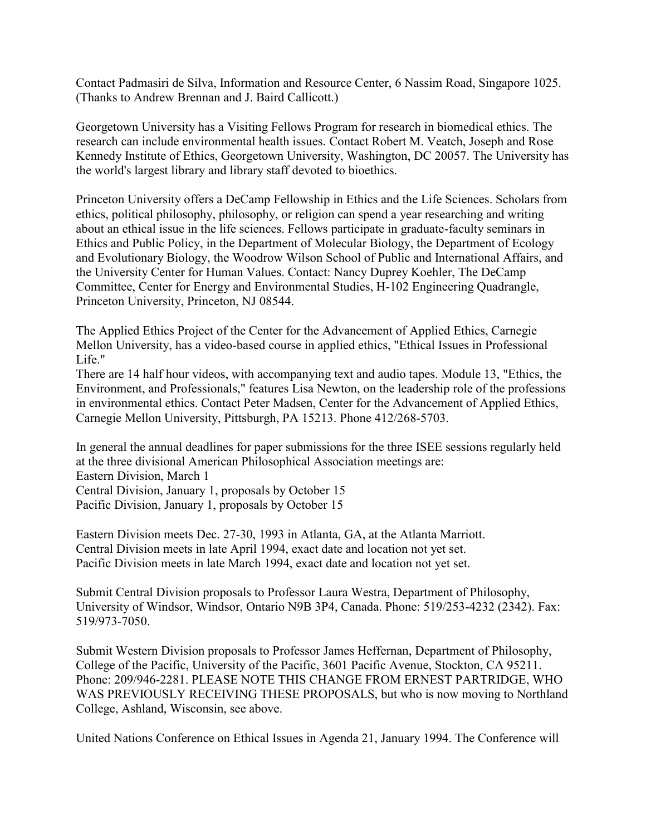Contact Padmasiri de Silva, Information and Resource Center, 6 Nassim Road, Singapore 1025. (Thanks to Andrew Brennan and J. Baird Callicott.)

Georgetown University has a Visiting Fellows Program for research in biomedical ethics. The research can include environmental health issues. Contact Robert M. Veatch, Joseph and Rose Kennedy Institute of Ethics, Georgetown University, Washington, DC 20057. The University has the world's largest library and library staff devoted to bioethics.

Princeton University offers a DeCamp Fellowship in Ethics and the Life Sciences. Scholars from ethics, political philosophy, philosophy, or religion can spend a year researching and writing about an ethical issue in the life sciences. Fellows participate in graduate-faculty seminars in Ethics and Public Policy, in the Department of Molecular Biology, the Department of Ecology and Evolutionary Biology, the Woodrow Wilson School of Public and International Affairs, and the University Center for Human Values. Contact: Nancy Duprey Koehler, The DeCamp Committee, Center for Energy and Environmental Studies, H-102 Engineering Quadrangle, Princeton University, Princeton, NJ 08544.

The Applied Ethics Project of the Center for the Advancement of Applied Ethics, Carnegie Mellon University, has a video-based course in applied ethics, "Ethical Issues in Professional Life."

There are 14 half hour videos, with accompanying text and audio tapes. Module 13, "Ethics, the Environment, and Professionals," features Lisa Newton, on the leadership role of the professions in environmental ethics. Contact Peter Madsen, Center for the Advancement of Applied Ethics, Carnegie Mellon University, Pittsburgh, PA 15213. Phone 412/268-5703.

In general the annual deadlines for paper submissions for the three ISEE sessions regularly held at the three divisional American Philosophical Association meetings are: Eastern Division, March 1 Central Division, January 1, proposals by October 15 Pacific Division, January 1, proposals by October 15

Eastern Division meets Dec. 27-30, 1993 in Atlanta, GA, at the Atlanta Marriott. Central Division meets in late April 1994, exact date and location not yet set. Pacific Division meets in late March 1994, exact date and location not yet set.

Submit Central Division proposals to Professor Laura Westra, Department of Philosophy, University of Windsor, Windsor, Ontario N9B 3P4, Canada. Phone: 519/253-4232 (2342). Fax: 519/973-7050.

Submit Western Division proposals to Professor James Heffernan, Department of Philosophy, College of the Pacific, University of the Pacific, 3601 Pacific Avenue, Stockton, CA 95211. Phone: 209/946-2281. PLEASE NOTE THIS CHANGE FROM ERNEST PARTRIDGE, WHO WAS PREVIOUSLY RECEIVING THESE PROPOSALS, but who is now moving to Northland College, Ashland, Wisconsin, see above.

United Nations Conference on Ethical Issues in Agenda 21, January 1994. The Conference will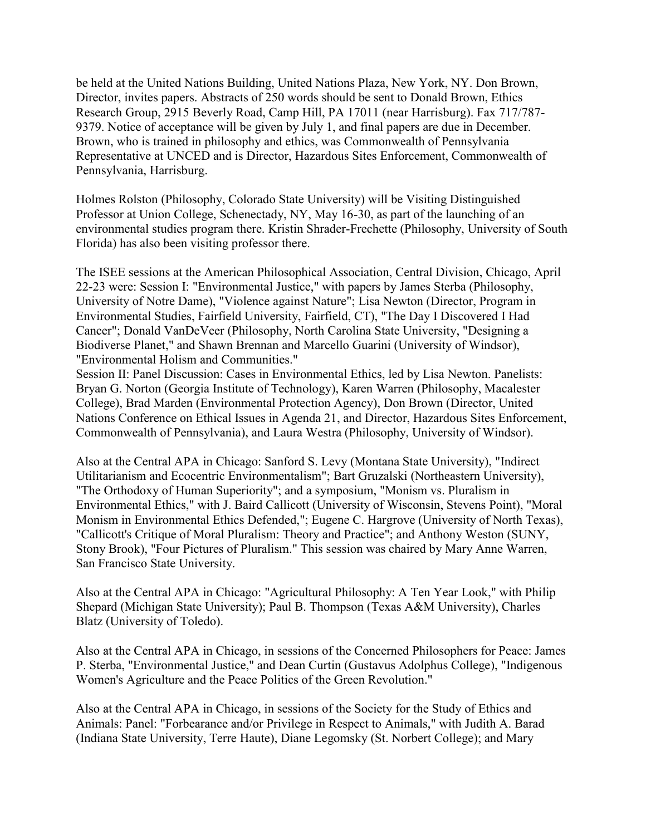be held at the United Nations Building, United Nations Plaza, New York, NY. Don Brown, Director, invites papers. Abstracts of 250 words should be sent to Donald Brown, Ethics Research Group, 2915 Beverly Road, Camp Hill, PA 17011 (near Harrisburg). Fax 717/787- 9379. Notice of acceptance will be given by July 1, and final papers are due in December. Brown, who is trained in philosophy and ethics, was Commonwealth of Pennsylvania Representative at UNCED and is Director, Hazardous Sites Enforcement, Commonwealth of Pennsylvania, Harrisburg.

Holmes Rolston (Philosophy, Colorado State University) will be Visiting Distinguished Professor at Union College, Schenectady, NY, May 16-30, as part of the launching of an environmental studies program there. Kristin Shrader-Frechette (Philosophy, University of South Florida) has also been visiting professor there.

The ISEE sessions at the American Philosophical Association, Central Division, Chicago, April 22-23 were: Session I: "Environmental Justice," with papers by James Sterba (Philosophy, University of Notre Dame), "Violence against Nature"; Lisa Newton (Director, Program in Environmental Studies, Fairfield University, Fairfield, CT), "The Day I Discovered I Had Cancer"; Donald VanDeVeer (Philosophy, North Carolina State University, "Designing a Biodiverse Planet," and Shawn Brennan and Marcello Guarini (University of Windsor), "Environmental Holism and Communities."

Session II: Panel Discussion: Cases in Environmental Ethics, led by Lisa Newton. Panelists: Bryan G. Norton (Georgia Institute of Technology), Karen Warren (Philosophy, Macalester College), Brad Marden (Environmental Protection Agency), Don Brown (Director, United Nations Conference on Ethical Issues in Agenda 21, and Director, Hazardous Sites Enforcement, Commonwealth of Pennsylvania), and Laura Westra (Philosophy, University of Windsor).

Also at the Central APA in Chicago: Sanford S. Levy (Montana State University), "Indirect Utilitarianism and Ecocentric Environmentalism"; Bart Gruzalski (Northeastern University), "The Orthodoxy of Human Superiority"; and a symposium, "Monism vs. Pluralism in Environmental Ethics," with J. Baird Callicott (University of Wisconsin, Stevens Point), "Moral Monism in Environmental Ethics Defended,"; Eugene C. Hargrove (University of North Texas), "Callicott's Critique of Moral Pluralism: Theory and Practice"; and Anthony Weston (SUNY, Stony Brook), "Four Pictures of Pluralism." This session was chaired by Mary Anne Warren, San Francisco State University.

Also at the Central APA in Chicago: "Agricultural Philosophy: A Ten Year Look," with Philip Shepard (Michigan State University); Paul B. Thompson (Texas A&M University), Charles Blatz (University of Toledo).

Also at the Central APA in Chicago, in sessions of the Concerned Philosophers for Peace: James P. Sterba, "Environmental Justice," and Dean Curtin (Gustavus Adolphus College), "Indigenous Women's Agriculture and the Peace Politics of the Green Revolution."

Also at the Central APA in Chicago, in sessions of the Society for the Study of Ethics and Animals: Panel: "Forbearance and/or Privilege in Respect to Animals," with Judith A. Barad (Indiana State University, Terre Haute), Diane Legomsky (St. Norbert College); and Mary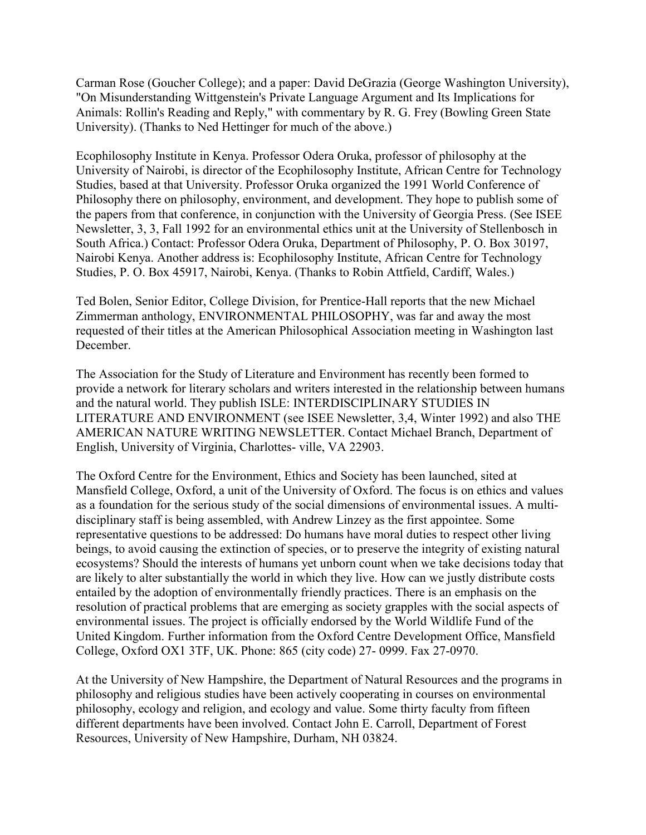Carman Rose (Goucher College); and a paper: David DeGrazia (George Washington University), "On Misunderstanding Wittgenstein's Private Language Argument and Its Implications for Animals: Rollin's Reading and Reply," with commentary by R. G. Frey (Bowling Green State University). (Thanks to Ned Hettinger for much of the above.)

Ecophilosophy Institute in Kenya. Professor Odera Oruka, professor of philosophy at the University of Nairobi, is director of the Ecophilosophy Institute, African Centre for Technology Studies, based at that University. Professor Oruka organized the 1991 World Conference of Philosophy there on philosophy, environment, and development. They hope to publish some of the papers from that conference, in conjunction with the University of Georgia Press. (See ISEE Newsletter, 3, 3, Fall 1992 for an environmental ethics unit at the University of Stellenbosch in South Africa.) Contact: Professor Odera Oruka, Department of Philosophy, P. O. Box 30197, Nairobi Kenya. Another address is: Ecophilosophy Institute, African Centre for Technology Studies, P. O. Box 45917, Nairobi, Kenya. (Thanks to Robin Attfield, Cardiff, Wales.)

Ted Bolen, Senior Editor, College Division, for Prentice-Hall reports that the new Michael Zimmerman anthology, ENVIRONMENTAL PHILOSOPHY, was far and away the most requested of their titles at the American Philosophical Association meeting in Washington last December.

The Association for the Study of Literature and Environment has recently been formed to provide a network for literary scholars and writers interested in the relationship between humans and the natural world. They publish ISLE: INTERDISCIPLINARY STUDIES IN LITERATURE AND ENVIRONMENT (see ISEE Newsletter, 3,4, Winter 1992) and also THE AMERICAN NATURE WRITING NEWSLETTER. Contact Michael Branch, Department of English, University of Virginia, Charlottes- ville, VA 22903.

The Oxford Centre for the Environment, Ethics and Society has been launched, sited at Mansfield College, Oxford, a unit of the University of Oxford. The focus is on ethics and values as a foundation for the serious study of the social dimensions of environmental issues. A multidisciplinary staff is being assembled, with Andrew Linzey as the first appointee. Some representative questions to be addressed: Do humans have moral duties to respect other living beings, to avoid causing the extinction of species, or to preserve the integrity of existing natural ecosystems? Should the interests of humans yet unborn count when we take decisions today that are likely to alter substantially the world in which they live. How can we justly distribute costs entailed by the adoption of environmentally friendly practices. There is an emphasis on the resolution of practical problems that are emerging as society grapples with the social aspects of environmental issues. The project is officially endorsed by the World Wildlife Fund of the United Kingdom. Further information from the Oxford Centre Development Office, Mansfield College, Oxford OX1 3TF, UK. Phone: 865 (city code) 27- 0999. Fax 27-0970.

At the University of New Hampshire, the Department of Natural Resources and the programs in philosophy and religious studies have been actively cooperating in courses on environmental philosophy, ecology and religion, and ecology and value. Some thirty faculty from fifteen different departments have been involved. Contact John E. Carroll, Department of Forest Resources, University of New Hampshire, Durham, NH 03824.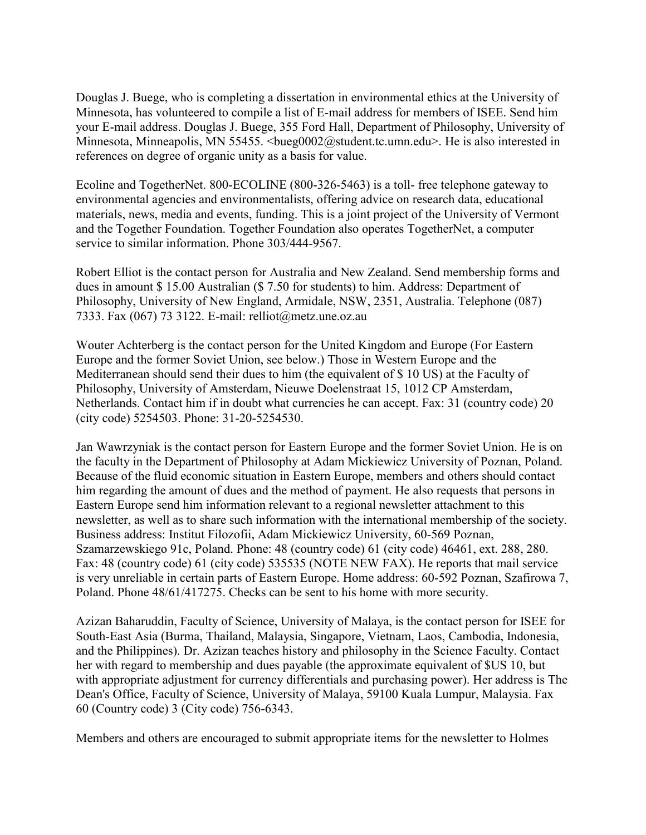Douglas J. Buege, who is completing a dissertation in environmental ethics at the University of Minnesota, has volunteered to compile a list of E-mail address for members of ISEE. Send him your E-mail address. Douglas J. Buege, 355 Ford Hall, Department of Philosophy, University of Minnesota, Minneapolis, MN 55455. <br/>bueg0002@student.tc.umn.edu>. He is also interested in references on degree of organic unity as a basis for value.

Ecoline and TogetherNet. 800-ECOLINE (800-326-5463) is a toll- free telephone gateway to environmental agencies and environmentalists, offering advice on research data, educational materials, news, media and events, funding. This is a joint project of the University of Vermont and the Together Foundation. Together Foundation also operates TogetherNet, a computer service to similar information. Phone 303/444-9567.

Robert Elliot is the contact person for Australia and New Zealand. Send membership forms and dues in amount \$ 15.00 Australian (\$ 7.50 for students) to him. Address: Department of Philosophy, University of New England, Armidale, NSW, 2351, Australia. Telephone (087) 7333. Fax (067) 73 3122. E-mail: relliot@metz.une.oz.au

Wouter Achterberg is the contact person for the United Kingdom and Europe (For Eastern Europe and the former Soviet Union, see below.) Those in Western Europe and the Mediterranean should send their dues to him (the equivalent of \$ 10 US) at the Faculty of Philosophy, University of Amsterdam, Nieuwe Doelenstraat 15, 1012 CP Amsterdam, Netherlands. Contact him if in doubt what currencies he can accept. Fax: 31 (country code) 20 (city code) 5254503. Phone: 31-20-5254530.

Jan Wawrzyniak is the contact person for Eastern Europe and the former Soviet Union. He is on the faculty in the Department of Philosophy at Adam Mickiewicz University of Poznan, Poland. Because of the fluid economic situation in Eastern Europe, members and others should contact him regarding the amount of dues and the method of payment. He also requests that persons in Eastern Europe send him information relevant to a regional newsletter attachment to this newsletter, as well as to share such information with the international membership of the society. Business address: Institut Filozofii, Adam Mickiewicz University, 60-569 Poznan, Szamarzewskiego 91c, Poland. Phone: 48 (country code) 61 (city code) 46461, ext. 288, 280. Fax: 48 (country code) 61 (city code) 535535 (NOTE NEW FAX). He reports that mail service is very unreliable in certain parts of Eastern Europe. Home address: 60-592 Poznan, Szafirowa 7, Poland. Phone 48/61/417275. Checks can be sent to his home with more security.

Azizan Baharuddin, Faculty of Science, University of Malaya, is the contact person for ISEE for South-East Asia (Burma, Thailand, Malaysia, Singapore, Vietnam, Laos, Cambodia, Indonesia, and the Philippines). Dr. Azizan teaches history and philosophy in the Science Faculty. Contact her with regard to membership and dues payable (the approximate equivalent of \$US 10, but with appropriate adjustment for currency differentials and purchasing power). Her address is The Dean's Office, Faculty of Science, University of Malaya, 59100 Kuala Lumpur, Malaysia. Fax 60 (Country code) 3 (City code) 756-6343.

Members and others are encouraged to submit appropriate items for the newsletter to Holmes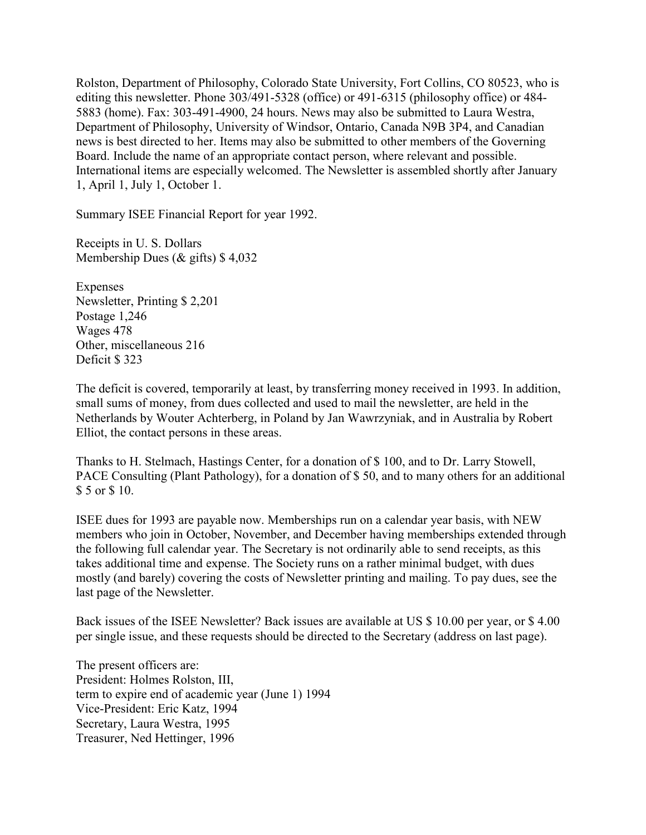Rolston, Department of Philosophy, Colorado State University, Fort Collins, CO 80523, who is editing this newsletter. Phone 303/491-5328 (office) or 491-6315 (philosophy office) or 484- 5883 (home). Fax: 303-491-4900, 24 hours. News may also be submitted to Laura Westra, Department of Philosophy, University of Windsor, Ontario, Canada N9B 3P4, and Canadian news is best directed to her. Items may also be submitted to other members of the Governing Board. Include the name of an appropriate contact person, where relevant and possible. International items are especially welcomed. The Newsletter is assembled shortly after January 1, April 1, July 1, October 1.

Summary ISEE Financial Report for year 1992.

Receipts in U. S. Dollars Membership Dues (& gifts) \$ 4,032

Expenses Newsletter, Printing \$ 2,201 Postage 1,246 Wages 478 Other, miscellaneous 216 Deficit \$ 323

The deficit is covered, temporarily at least, by transferring money received in 1993. In addition, small sums of money, from dues collected and used to mail the newsletter, are held in the Netherlands by Wouter Achterberg, in Poland by Jan Wawrzyniak, and in Australia by Robert Elliot, the contact persons in these areas.

Thanks to H. Stelmach, Hastings Center, for a donation of \$ 100, and to Dr. Larry Stowell, PACE Consulting (Plant Pathology), for a donation of \$ 50, and to many others for an additional \$ 5 or \$ 10.

ISEE dues for 1993 are payable now. Memberships run on a calendar year basis, with NEW members who join in October, November, and December having memberships extended through the following full calendar year. The Secretary is not ordinarily able to send receipts, as this takes additional time and expense. The Society runs on a rather minimal budget, with dues mostly (and barely) covering the costs of Newsletter printing and mailing. To pay dues, see the last page of the Newsletter.

Back issues of the ISEE Newsletter? Back issues are available at US \$ 10.00 per year, or \$ 4.00 per single issue, and these requests should be directed to the Secretary (address on last page).

The present officers are: President: Holmes Rolston, III, term to expire end of academic year (June 1) 1994 Vice-President: Eric Katz, 1994 Secretary, Laura Westra, 1995 Treasurer, Ned Hettinger, 1996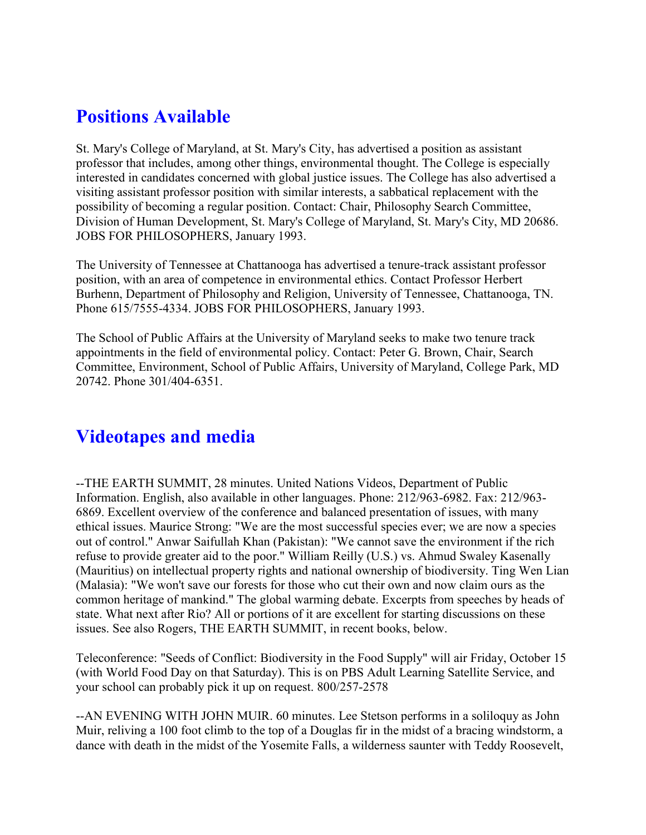# **Positions Available**

St. Mary's College of Maryland, at St. Mary's City, has advertised a position as assistant professor that includes, among other things, environmental thought. The College is especially interested in candidates concerned with global justice issues. The College has also advertised a visiting assistant professor position with similar interests, a sabbatical replacement with the possibility of becoming a regular position. Contact: Chair, Philosophy Search Committee, Division of Human Development, St. Mary's College of Maryland, St. Mary's City, MD 20686. JOBS FOR PHILOSOPHERS, January 1993.

The University of Tennessee at Chattanooga has advertised a tenure-track assistant professor position, with an area of competence in environmental ethics. Contact Professor Herbert Burhenn, Department of Philosophy and Religion, University of Tennessee, Chattanooga, TN. Phone 615/7555-4334. JOBS FOR PHILOSOPHERS, January 1993.

The School of Public Affairs at the University of Maryland seeks to make two tenure track appointments in the field of environmental policy. Contact: Peter G. Brown, Chair, Search Committee, Environment, School of Public Affairs, University of Maryland, College Park, MD 20742. Phone 301/404-6351.

## **Videotapes and media**

--THE EARTH SUMMIT, 28 minutes. United Nations Videos, Department of Public Information. English, also available in other languages. Phone: 212/963-6982. Fax: 212/963- 6869. Excellent overview of the conference and balanced presentation of issues, with many ethical issues. Maurice Strong: "We are the most successful species ever; we are now a species out of control." Anwar Saifullah Khan (Pakistan): "We cannot save the environment if the rich refuse to provide greater aid to the poor." William Reilly (U.S.) vs. Ahmud Swaley Kasenally (Mauritius) on intellectual property rights and national ownership of biodiversity. Ting Wen Lian (Malasia): "We won't save our forests for those who cut their own and now claim ours as the common heritage of mankind." The global warming debate. Excerpts from speeches by heads of state. What next after Rio? All or portions of it are excellent for starting discussions on these issues. See also Rogers, THE EARTH SUMMIT, in recent books, below.

Teleconference: "Seeds of Conflict: Biodiversity in the Food Supply" will air Friday, October 15 (with World Food Day on that Saturday). This is on PBS Adult Learning Satellite Service, and your school can probably pick it up on request. 800/257-2578

--AN EVENING WITH JOHN MUIR. 60 minutes. Lee Stetson performs in a soliloquy as John Muir, reliving a 100 foot climb to the top of a Douglas fir in the midst of a bracing windstorm, a dance with death in the midst of the Yosemite Falls, a wilderness saunter with Teddy Roosevelt,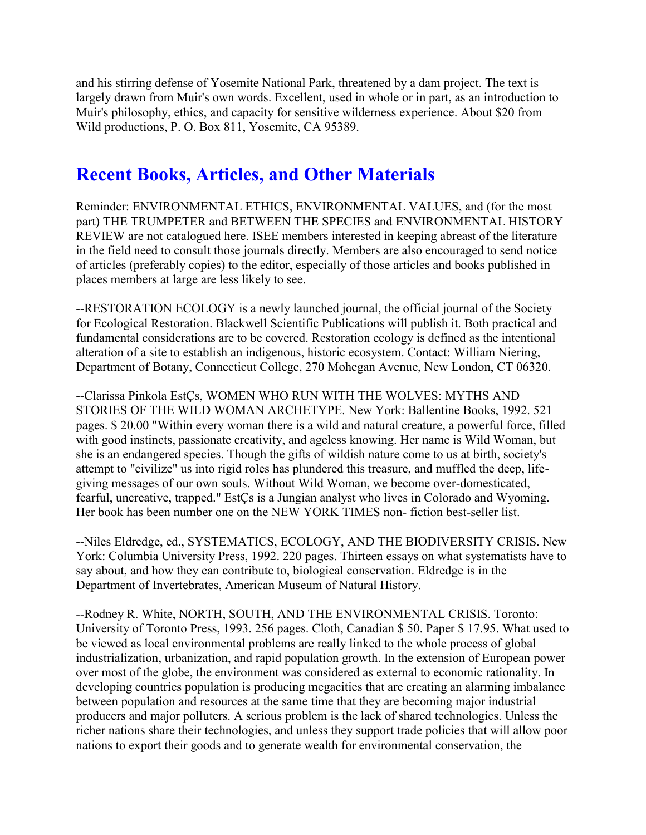and his stirring defense of Yosemite National Park, threatened by a dam project. The text is largely drawn from Muir's own words. Excellent, used in whole or in part, as an introduction to Muir's philosophy, ethics, and capacity for sensitive wilderness experience. About \$20 from Wild productions, P. O. Box 811, Yosemite, CA 95389.

## **Recent Books, Articles, and Other Materials**

Reminder: ENVIRONMENTAL ETHICS, ENVIRONMENTAL VALUES, and (for the most part) THE TRUMPETER and BETWEEN THE SPECIES and ENVIRONMENTAL HISTORY REVIEW are not catalogued here. ISEE members interested in keeping abreast of the literature in the field need to consult those journals directly. Members are also encouraged to send notice of articles (preferably copies) to the editor, especially of those articles and books published in places members at large are less likely to see.

--RESTORATION ECOLOGY is a newly launched journal, the official journal of the Society for Ecological Restoration. Blackwell Scientific Publications will publish it. Both practical and fundamental considerations are to be covered. Restoration ecology is defined as the intentional alteration of a site to establish an indigenous, historic ecosystem. Contact: William Niering, Department of Botany, Connecticut College, 270 Mohegan Avenue, New London, CT 06320.

--Clarissa Pinkola EstÇs, WOMEN WHO RUN WITH THE WOLVES: MYTHS AND STORIES OF THE WILD WOMAN ARCHETYPE. New York: Ballentine Books, 1992. 521 pages. \$ 20.00 "Within every woman there is a wild and natural creature, a powerful force, filled with good instincts, passionate creativity, and ageless knowing. Her name is Wild Woman, but she is an endangered species. Though the gifts of wildish nature come to us at birth, society's attempt to "civilize" us into rigid roles has plundered this treasure, and muffled the deep, lifegiving messages of our own souls. Without Wild Woman, we become over-domesticated, fearful, uncreative, trapped." EstÇs is a Jungian analyst who lives in Colorado and Wyoming. Her book has been number one on the NEW YORK TIMES non- fiction best-seller list.

--Niles Eldredge, ed., SYSTEMATICS, ECOLOGY, AND THE BIODIVERSITY CRISIS. New York: Columbia University Press, 1992. 220 pages. Thirteen essays on what systematists have to say about, and how they can contribute to, biological conservation. Eldredge is in the Department of Invertebrates, American Museum of Natural History.

--Rodney R. White, NORTH, SOUTH, AND THE ENVIRONMENTAL CRISIS. Toronto: University of Toronto Press, 1993. 256 pages. Cloth, Canadian \$ 50. Paper \$ 17.95. What used to be viewed as local environmental problems are really linked to the whole process of global industrialization, urbanization, and rapid population growth. In the extension of European power over most of the globe, the environment was considered as external to economic rationality. In developing countries population is producing megacities that are creating an alarming imbalance between population and resources at the same time that they are becoming major industrial producers and major polluters. A serious problem is the lack of shared technologies. Unless the richer nations share their technologies, and unless they support trade policies that will allow poor nations to export their goods and to generate wealth for environmental conservation, the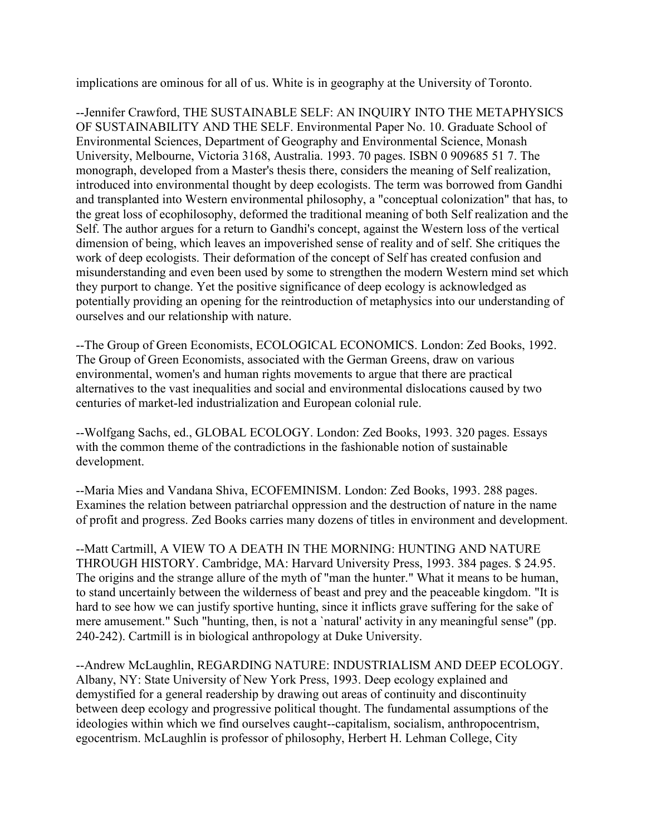implications are ominous for all of us. White is in geography at the University of Toronto.

--Jennifer Crawford, THE SUSTAINABLE SELF: AN INQUIRY INTO THE METAPHYSICS OF SUSTAINABILITY AND THE SELF. Environmental Paper No. 10. Graduate School of Environmental Sciences, Department of Geography and Environmental Science, Monash University, Melbourne, Victoria 3168, Australia. 1993. 70 pages. ISBN 0 909685 51 7. The monograph, developed from a Master's thesis there, considers the meaning of Self realization, introduced into environmental thought by deep ecologists. The term was borrowed from Gandhi and transplanted into Western environmental philosophy, a "conceptual colonization" that has, to the great loss of ecophilosophy, deformed the traditional meaning of both Self realization and the Self. The author argues for a return to Gandhi's concept, against the Western loss of the vertical dimension of being, which leaves an impoverished sense of reality and of self. She critiques the work of deep ecologists. Their deformation of the concept of Self has created confusion and misunderstanding and even been used by some to strengthen the modern Western mind set which they purport to change. Yet the positive significance of deep ecology is acknowledged as potentially providing an opening for the reintroduction of metaphysics into our understanding of ourselves and our relationship with nature.

--The Group of Green Economists, ECOLOGICAL ECONOMICS. London: Zed Books, 1992. The Group of Green Economists, associated with the German Greens, draw on various environmental, women's and human rights movements to argue that there are practical alternatives to the vast inequalities and social and environmental dislocations caused by two centuries of market-led industrialization and European colonial rule.

--Wolfgang Sachs, ed., GLOBAL ECOLOGY. London: Zed Books, 1993. 320 pages. Essays with the common theme of the contradictions in the fashionable notion of sustainable development.

--Maria Mies and Vandana Shiva, ECOFEMINISM. London: Zed Books, 1993. 288 pages. Examines the relation between patriarchal oppression and the destruction of nature in the name of profit and progress. Zed Books carries many dozens of titles in environment and development.

--Matt Cartmill, A VIEW TO A DEATH IN THE MORNING: HUNTING AND NATURE THROUGH HISTORY. Cambridge, MA: Harvard University Press, 1993. 384 pages. \$ 24.95. The origins and the strange allure of the myth of "man the hunter." What it means to be human, to stand uncertainly between the wilderness of beast and prey and the peaceable kingdom. "It is hard to see how we can justify sportive hunting, since it inflicts grave suffering for the sake of mere amusement." Such "hunting, then, is not a `natural' activity in any meaningful sense" (pp. 240-242). Cartmill is in biological anthropology at Duke University.

--Andrew McLaughlin, REGARDING NATURE: INDUSTRIALISM AND DEEP ECOLOGY. Albany, NY: State University of New York Press, 1993. Deep ecology explained and demystified for a general readership by drawing out areas of continuity and discontinuity between deep ecology and progressive political thought. The fundamental assumptions of the ideologies within which we find ourselves caught--capitalism, socialism, anthropocentrism, egocentrism. McLaughlin is professor of philosophy, Herbert H. Lehman College, City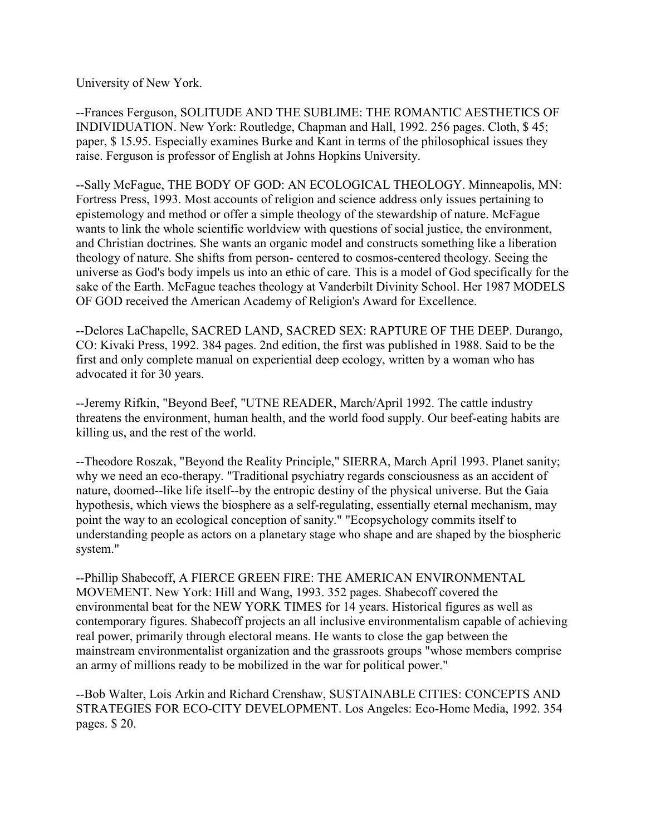University of New York.

--Frances Ferguson, SOLITUDE AND THE SUBLIME: THE ROMANTIC AESTHETICS OF INDIVIDUATION. New York: Routledge, Chapman and Hall, 1992. 256 pages. Cloth, \$ 45; paper, \$ 15.95. Especially examines Burke and Kant in terms of the philosophical issues they raise. Ferguson is professor of English at Johns Hopkins University.

--Sally McFague, THE BODY OF GOD: AN ECOLOGICAL THEOLOGY. Minneapolis, MN: Fortress Press, 1993. Most accounts of religion and science address only issues pertaining to epistemology and method or offer a simple theology of the stewardship of nature. McFague wants to link the whole scientific worldview with questions of social justice, the environment, and Christian doctrines. She wants an organic model and constructs something like a liberation theology of nature. She shifts from person- centered to cosmos-centered theology. Seeing the universe as God's body impels us into an ethic of care. This is a model of God specifically for the sake of the Earth. McFague teaches theology at Vanderbilt Divinity School. Her 1987 MODELS OF GOD received the American Academy of Religion's Award for Excellence.

--Delores LaChapelle, SACRED LAND, SACRED SEX: RAPTURE OF THE DEEP. Durango, CO: Kivaki Press, 1992. 384 pages. 2nd edition, the first was published in 1988. Said to be the first and only complete manual on experiential deep ecology, written by a woman who has advocated it for 30 years.

--Jeremy Rifkin, "Beyond Beef, "UTNE READER, March/April 1992. The cattle industry threatens the environment, human health, and the world food supply. Our beef-eating habits are killing us, and the rest of the world.

--Theodore Roszak, "Beyond the Reality Principle," SIERRA, March April 1993. Planet sanity; why we need an eco-therapy. "Traditional psychiatry regards consciousness as an accident of nature, doomed--like life itself--by the entropic destiny of the physical universe. But the Gaia hypothesis, which views the biosphere as a self-regulating, essentially eternal mechanism, may point the way to an ecological conception of sanity." "Ecopsychology commits itself to understanding people as actors on a planetary stage who shape and are shaped by the biospheric system."

--Phillip Shabecoff, A FIERCE GREEN FIRE: THE AMERICAN ENVIRONMENTAL MOVEMENT. New York: Hill and Wang, 1993. 352 pages. Shabecoff covered the environmental beat for the NEW YORK TIMES for 14 years. Historical figures as well as contemporary figures. Shabecoff projects an all inclusive environmentalism capable of achieving real power, primarily through electoral means. He wants to close the gap between the mainstream environmentalist organization and the grassroots groups "whose members comprise an army of millions ready to be mobilized in the war for political power."

--Bob Walter, Lois Arkin and Richard Crenshaw, SUSTAINABLE CITIES: CONCEPTS AND STRATEGIES FOR ECO-CITY DEVELOPMENT. Los Angeles: Eco-Home Media, 1992. 354 pages. \$ 20.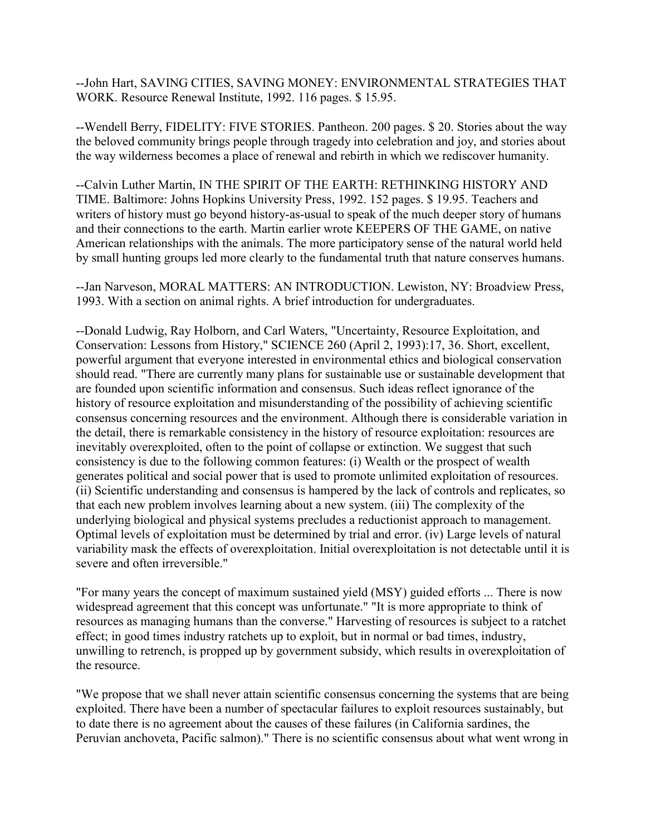--John Hart, SAVING CITIES, SAVING MONEY: ENVIRONMENTAL STRATEGIES THAT WORK. Resource Renewal Institute, 1992. 116 pages. \$ 15.95.

--Wendell Berry, FIDELITY: FIVE STORIES. Pantheon. 200 pages. \$ 20. Stories about the way the beloved community brings people through tragedy into celebration and joy, and stories about the way wilderness becomes a place of renewal and rebirth in which we rediscover humanity.

--Calvin Luther Martin, IN THE SPIRIT OF THE EARTH: RETHINKING HISTORY AND TIME. Baltimore: Johns Hopkins University Press, 1992. 152 pages. \$ 19.95. Teachers and writers of history must go beyond history-as-usual to speak of the much deeper story of humans and their connections to the earth. Martin earlier wrote KEEPERS OF THE GAME, on native American relationships with the animals. The more participatory sense of the natural world held by small hunting groups led more clearly to the fundamental truth that nature conserves humans.

--Jan Narveson, MORAL MATTERS: AN INTRODUCTION. Lewiston, NY: Broadview Press, 1993. With a section on animal rights. A brief introduction for undergraduates.

--Donald Ludwig, Ray Holborn, and Carl Waters, "Uncertainty, Resource Exploitation, and Conservation: Lessons from History," SCIENCE 260 (April 2, 1993):17, 36. Short, excellent, powerful argument that everyone interested in environmental ethics and biological conservation should read. "There are currently many plans for sustainable use or sustainable development that are founded upon scientific information and consensus. Such ideas reflect ignorance of the history of resource exploitation and misunderstanding of the possibility of achieving scientific consensus concerning resources and the environment. Although there is considerable variation in the detail, there is remarkable consistency in the history of resource exploitation: resources are inevitably overexploited, often to the point of collapse or extinction. We suggest that such consistency is due to the following common features: (i) Wealth or the prospect of wealth generates political and social power that is used to promote unlimited exploitation of resources. (ii) Scientific understanding and consensus is hampered by the lack of controls and replicates, so that each new problem involves learning about a new system. (iii) The complexity of the underlying biological and physical systems precludes a reductionist approach to management. Optimal levels of exploitation must be determined by trial and error. (iv) Large levels of natural variability mask the effects of overexploitation. Initial overexploitation is not detectable until it is severe and often irreversible."

"For many years the concept of maximum sustained yield (MSY) guided efforts ... There is now widespread agreement that this concept was unfortunate." "It is more appropriate to think of resources as managing humans than the converse." Harvesting of resources is subject to a ratchet effect; in good times industry ratchets up to exploit, but in normal or bad times, industry, unwilling to retrench, is propped up by government subsidy, which results in overexploitation of the resource.

"We propose that we shall never attain scientific consensus concerning the systems that are being exploited. There have been a number of spectacular failures to exploit resources sustainably, but to date there is no agreement about the causes of these failures (in California sardines, the Peruvian anchoveta, Pacific salmon)." There is no scientific consensus about what went wrong in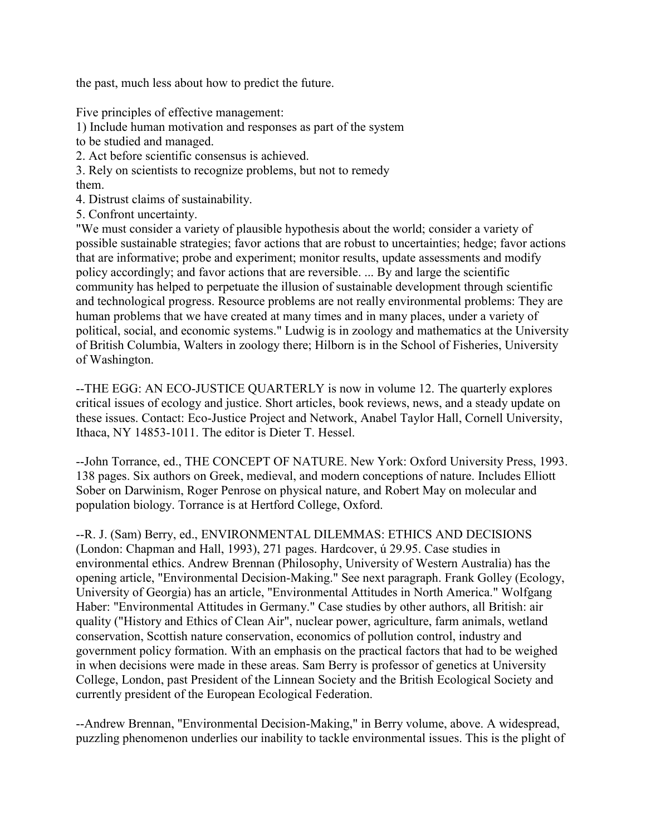the past, much less about how to predict the future.

Five principles of effective management:

1) Include human motivation and responses as part of the system

to be studied and managed.

2. Act before scientific consensus is achieved.

3. Rely on scientists to recognize problems, but not to remedy them.

4. Distrust claims of sustainability.

5. Confront uncertainty.

"We must consider a variety of plausible hypothesis about the world; consider a variety of possible sustainable strategies; favor actions that are robust to uncertainties; hedge; favor actions that are informative; probe and experiment; monitor results, update assessments and modify policy accordingly; and favor actions that are reversible. ... By and large the scientific community has helped to perpetuate the illusion of sustainable development through scientific and technological progress. Resource problems are not really environmental problems: They are human problems that we have created at many times and in many places, under a variety of political, social, and economic systems." Ludwig is in zoology and mathematics at the University of British Columbia, Walters in zoology there; Hilborn is in the School of Fisheries, University of Washington.

--THE EGG: AN ECO-JUSTICE QUARTERLY is now in volume 12. The quarterly explores critical issues of ecology and justice. Short articles, book reviews, news, and a steady update on these issues. Contact: Eco-Justice Project and Network, Anabel Taylor Hall, Cornell University, Ithaca, NY 14853-1011. The editor is Dieter T. Hessel.

--John Torrance, ed., THE CONCEPT OF NATURE. New York: Oxford University Press, 1993. 138 pages. Six authors on Greek, medieval, and modern conceptions of nature. Includes Elliott Sober on Darwinism, Roger Penrose on physical nature, and Robert May on molecular and population biology. Torrance is at Hertford College, Oxford.

--R. J. (Sam) Berry, ed., ENVIRONMENTAL DILEMMAS: ETHICS AND DECISIONS (London: Chapman and Hall, 1993), 271 pages. Hardcover, ú 29.95. Case studies in environmental ethics. Andrew Brennan (Philosophy, University of Western Australia) has the opening article, "Environmental Decision-Making." See next paragraph. Frank Golley (Ecology, University of Georgia) has an article, "Environmental Attitudes in North America." Wolfgang Haber: "Environmental Attitudes in Germany." Case studies by other authors, all British: air quality ("History and Ethics of Clean Air", nuclear power, agriculture, farm animals, wetland conservation, Scottish nature conservation, economics of pollution control, industry and government policy formation. With an emphasis on the practical factors that had to be weighed in when decisions were made in these areas. Sam Berry is professor of genetics at University College, London, past President of the Linnean Society and the British Ecological Society and currently president of the European Ecological Federation.

--Andrew Brennan, "Environmental Decision-Making," in Berry volume, above. A widespread, puzzling phenomenon underlies our inability to tackle environmental issues. This is the plight of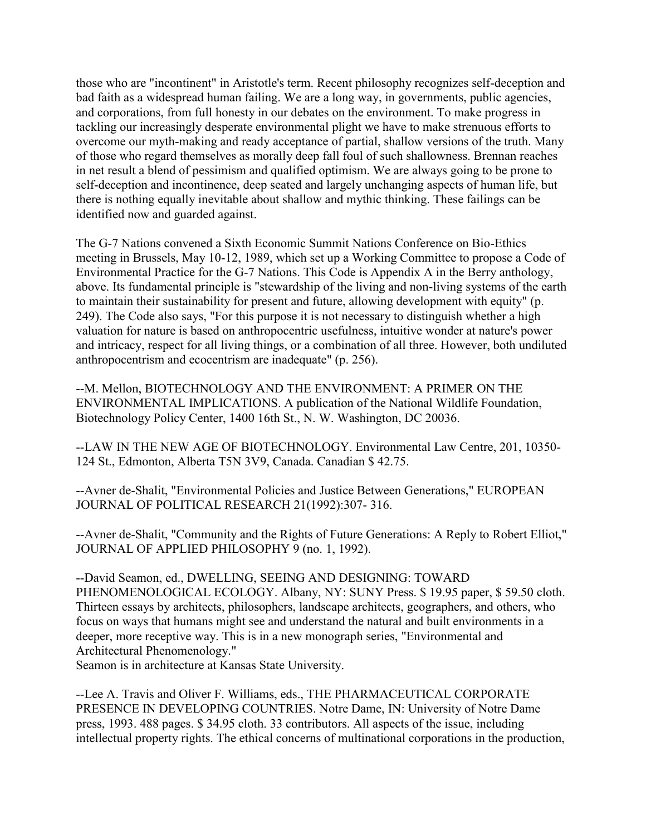those who are "incontinent" in Aristotle's term. Recent philosophy recognizes self-deception and bad faith as a widespread human failing. We are a long way, in governments, public agencies, and corporations, from full honesty in our debates on the environment. To make progress in tackling our increasingly desperate environmental plight we have to make strenuous efforts to overcome our myth-making and ready acceptance of partial, shallow versions of the truth. Many of those who regard themselves as morally deep fall foul of such shallowness. Brennan reaches in net result a blend of pessimism and qualified optimism. We are always going to be prone to self-deception and incontinence, deep seated and largely unchanging aspects of human life, but there is nothing equally inevitable about shallow and mythic thinking. These failings can be identified now and guarded against.

The G-7 Nations convened a Sixth Economic Summit Nations Conference on Bio-Ethics meeting in Brussels, May 10-12, 1989, which set up a Working Committee to propose a Code of Environmental Practice for the G-7 Nations. This Code is Appendix A in the Berry anthology, above. Its fundamental principle is "stewardship of the living and non-living systems of the earth to maintain their sustainability for present and future, allowing development with equity" (p. 249). The Code also says, "For this purpose it is not necessary to distinguish whether a high valuation for nature is based on anthropocentric usefulness, intuitive wonder at nature's power and intricacy, respect for all living things, or a combination of all three. However, both undiluted anthropocentrism and ecocentrism are inadequate" (p. 256).

--M. Mellon, BIOTECHNOLOGY AND THE ENVIRONMENT: A PRIMER ON THE ENVIRONMENTAL IMPLICATIONS. A publication of the National Wildlife Foundation, Biotechnology Policy Center, 1400 16th St., N. W. Washington, DC 20036.

--LAW IN THE NEW AGE OF BIOTECHNOLOGY. Environmental Law Centre, 201, 10350- 124 St., Edmonton, Alberta T5N 3V9, Canada. Canadian \$ 42.75.

--Avner de-Shalit, "Environmental Policies and Justice Between Generations," EUROPEAN JOURNAL OF POLITICAL RESEARCH 21(1992):307- 316.

--Avner de-Shalit, "Community and the Rights of Future Generations: A Reply to Robert Elliot," JOURNAL OF APPLIED PHILOSOPHY 9 (no. 1, 1992).

--David Seamon, ed., DWELLING, SEEING AND DESIGNING: TOWARD PHENOMENOLOGICAL ECOLOGY. Albany, NY: SUNY Press. \$ 19.95 paper, \$ 59.50 cloth. Thirteen essays by architects, philosophers, landscape architects, geographers, and others, who focus on ways that humans might see and understand the natural and built environments in a deeper, more receptive way. This is in a new monograph series, "Environmental and Architectural Phenomenology."

Seamon is in architecture at Kansas State University.

--Lee A. Travis and Oliver F. Williams, eds., THE PHARMACEUTICAL CORPORATE PRESENCE IN DEVELOPING COUNTRIES. Notre Dame, IN: University of Notre Dame press, 1993. 488 pages. \$ 34.95 cloth. 33 contributors. All aspects of the issue, including intellectual property rights. The ethical concerns of multinational corporations in the production,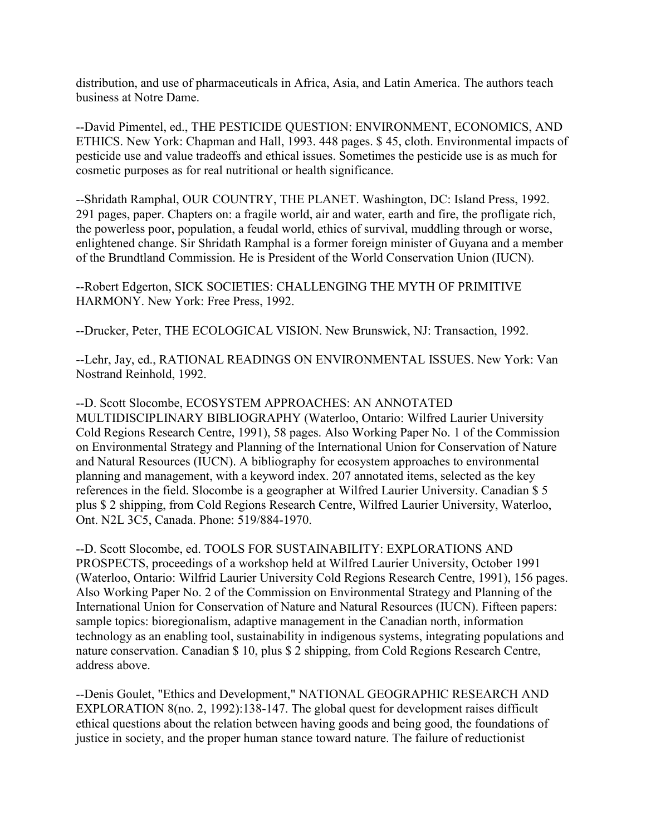distribution, and use of pharmaceuticals in Africa, Asia, and Latin America. The authors teach business at Notre Dame.

--David Pimentel, ed., THE PESTICIDE QUESTION: ENVIRONMENT, ECONOMICS, AND ETHICS. New York: Chapman and Hall, 1993. 448 pages. \$ 45, cloth. Environmental impacts of pesticide use and value tradeoffs and ethical issues. Sometimes the pesticide use is as much for cosmetic purposes as for real nutritional or health significance.

--Shridath Ramphal, OUR COUNTRY, THE PLANET. Washington, DC: Island Press, 1992. 291 pages, paper. Chapters on: a fragile world, air and water, earth and fire, the profligate rich, the powerless poor, population, a feudal world, ethics of survival, muddling through or worse, enlightened change. Sir Shridath Ramphal is a former foreign minister of Guyana and a member of the Brundtland Commission. He is President of the World Conservation Union (IUCN).

--Robert Edgerton, SICK SOCIETIES: CHALLENGING THE MYTH OF PRIMITIVE HARMONY. New York: Free Press, 1992.

--Drucker, Peter, THE ECOLOGICAL VISION. New Brunswick, NJ: Transaction, 1992.

--Lehr, Jay, ed., RATIONAL READINGS ON ENVIRONMENTAL ISSUES. New York: Van Nostrand Reinhold, 1992.

--D. Scott Slocombe, ECOSYSTEM APPROACHES: AN ANNOTATED MULTIDISCIPLINARY BIBLIOGRAPHY (Waterloo, Ontario: Wilfred Laurier University Cold Regions Research Centre, 1991), 58 pages. Also Working Paper No. 1 of the Commission on Environmental Strategy and Planning of the International Union for Conservation of Nature and Natural Resources (IUCN). A bibliography for ecosystem approaches to environmental planning and management, with a keyword index. 207 annotated items, selected as the key references in the field. Slocombe is a geographer at Wilfred Laurier University. Canadian \$ 5 plus \$ 2 shipping, from Cold Regions Research Centre, Wilfred Laurier University, Waterloo, Ont. N2L 3C5, Canada. Phone: 519/884-1970.

--D. Scott Slocombe, ed. TOOLS FOR SUSTAINABILITY: EXPLORATIONS AND PROSPECTS, proceedings of a workshop held at Wilfred Laurier University, October 1991 (Waterloo, Ontario: Wilfrid Laurier University Cold Regions Research Centre, 1991), 156 pages. Also Working Paper No. 2 of the Commission on Environmental Strategy and Planning of the International Union for Conservation of Nature and Natural Resources (IUCN). Fifteen papers: sample topics: bioregionalism, adaptive management in the Canadian north, information technology as an enabling tool, sustainability in indigenous systems, integrating populations and nature conservation. Canadian \$ 10, plus \$ 2 shipping, from Cold Regions Research Centre, address above.

--Denis Goulet, "Ethics and Development," NATIONAL GEOGRAPHIC RESEARCH AND EXPLORATION 8(no. 2, 1992):138-147. The global quest for development raises difficult ethical questions about the relation between having goods and being good, the foundations of justice in society, and the proper human stance toward nature. The failure of reductionist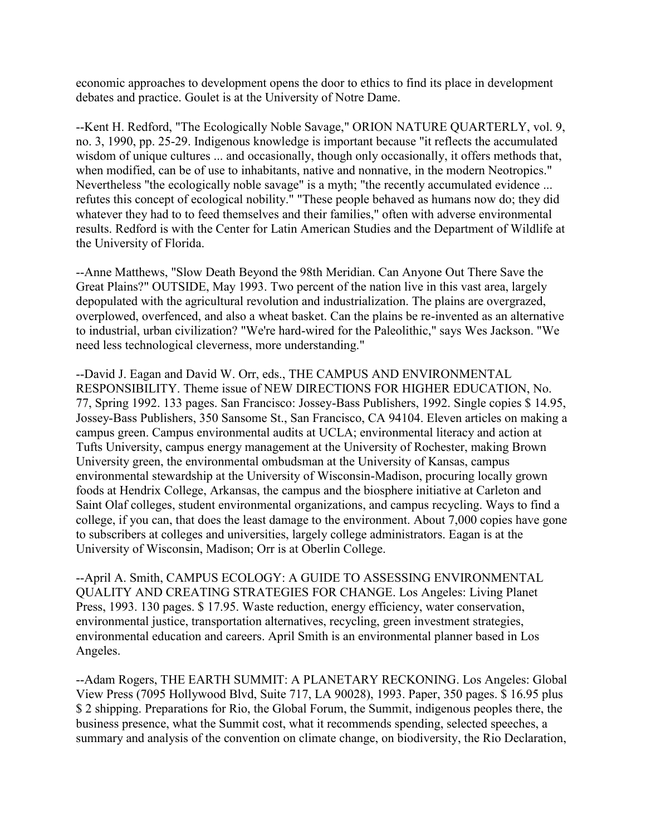economic approaches to development opens the door to ethics to find its place in development debates and practice. Goulet is at the University of Notre Dame.

--Kent H. Redford, "The Ecologically Noble Savage," ORION NATURE QUARTERLY, vol. 9, no. 3, 1990, pp. 25-29. Indigenous knowledge is important because "it reflects the accumulated wisdom of unique cultures ... and occasionally, though only occasionally, it offers methods that, when modified, can be of use to inhabitants, native and nonnative, in the modern Neotropics." Nevertheless "the ecologically noble savage" is a myth; "the recently accumulated evidence ... refutes this concept of ecological nobility." "These people behaved as humans now do; they did whatever they had to to feed themselves and their families," often with adverse environmental results. Redford is with the Center for Latin American Studies and the Department of Wildlife at the University of Florida.

--Anne Matthews, "Slow Death Beyond the 98th Meridian. Can Anyone Out There Save the Great Plains?" OUTSIDE, May 1993. Two percent of the nation live in this vast area, largely depopulated with the agricultural revolution and industrialization. The plains are overgrazed, overplowed, overfenced, and also a wheat basket. Can the plains be re-invented as an alternative to industrial, urban civilization? "We're hard-wired for the Paleolithic," says Wes Jackson. "We need less technological cleverness, more understanding."

--David J. Eagan and David W. Orr, eds., THE CAMPUS AND ENVIRONMENTAL RESPONSIBILITY. Theme issue of NEW DIRECTIONS FOR HIGHER EDUCATION, No. 77, Spring 1992. 133 pages. San Francisco: Jossey-Bass Publishers, 1992. Single copies \$ 14.95, Jossey-Bass Publishers, 350 Sansome St., San Francisco, CA 94104. Eleven articles on making a campus green. Campus environmental audits at UCLA; environmental literacy and action at Tufts University, campus energy management at the University of Rochester, making Brown University green, the environmental ombudsman at the University of Kansas, campus environmental stewardship at the University of Wisconsin-Madison, procuring locally grown foods at Hendrix College, Arkansas, the campus and the biosphere initiative at Carleton and Saint Olaf colleges, student environmental organizations, and campus recycling. Ways to find a college, if you can, that does the least damage to the environment. About 7,000 copies have gone to subscribers at colleges and universities, largely college administrators. Eagan is at the University of Wisconsin, Madison; Orr is at Oberlin College.

--April A. Smith, CAMPUS ECOLOGY: A GUIDE TO ASSESSING ENVIRONMENTAL QUALITY AND CREATING STRATEGIES FOR CHANGE. Los Angeles: Living Planet Press, 1993. 130 pages. \$ 17.95. Waste reduction, energy efficiency, water conservation, environmental justice, transportation alternatives, recycling, green investment strategies, environmental education and careers. April Smith is an environmental planner based in Los Angeles.

--Adam Rogers, THE EARTH SUMMIT: A PLANETARY RECKONING. Los Angeles: Global View Press (7095 Hollywood Blvd, Suite 717, LA 90028), 1993. Paper, 350 pages. \$ 16.95 plus \$ 2 shipping. Preparations for Rio, the Global Forum, the Summit, indigenous peoples there, the business presence, what the Summit cost, what it recommends spending, selected speeches, a summary and analysis of the convention on climate change, on biodiversity, the Rio Declaration,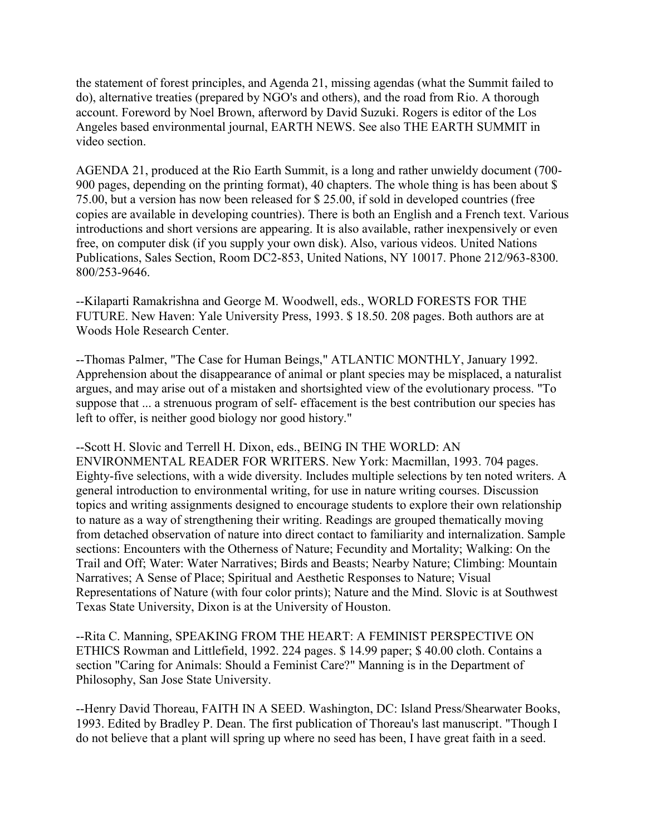the statement of forest principles, and Agenda 21, missing agendas (what the Summit failed to do), alternative treaties (prepared by NGO's and others), and the road from Rio. A thorough account. Foreword by Noel Brown, afterword by David Suzuki. Rogers is editor of the Los Angeles based environmental journal, EARTH NEWS. See also THE EARTH SUMMIT in video section.

AGENDA 21, produced at the Rio Earth Summit, is a long and rather unwieldy document (700- 900 pages, depending on the printing format), 40 chapters. The whole thing is has been about \$ 75.00, but a version has now been released for \$ 25.00, if sold in developed countries (free copies are available in developing countries). There is both an English and a French text. Various introductions and short versions are appearing. It is also available, rather inexpensively or even free, on computer disk (if you supply your own disk). Also, various videos. United Nations Publications, Sales Section, Room DC2-853, United Nations, NY 10017. Phone 212/963-8300. 800/253-9646.

--Kilaparti Ramakrishna and George M. Woodwell, eds., WORLD FORESTS FOR THE FUTURE. New Haven: Yale University Press, 1993. \$ 18.50. 208 pages. Both authors are at Woods Hole Research Center.

--Thomas Palmer, "The Case for Human Beings," ATLANTIC MONTHLY, January 1992. Apprehension about the disappearance of animal or plant species may be misplaced, a naturalist argues, and may arise out of a mistaken and shortsighted view of the evolutionary process. "To suppose that ... a strenuous program of self- effacement is the best contribution our species has left to offer, is neither good biology nor good history."

--Scott H. Slovic and Terrell H. Dixon, eds., BEING IN THE WORLD: AN ENVIRONMENTAL READER FOR WRITERS. New York: Macmillan, 1993. 704 pages. Eighty-five selections, with a wide diversity. Includes multiple selections by ten noted writers. A general introduction to environmental writing, for use in nature writing courses. Discussion topics and writing assignments designed to encourage students to explore their own relationship to nature as a way of strengthening their writing. Readings are grouped thematically moving from detached observation of nature into direct contact to familiarity and internalization. Sample sections: Encounters with the Otherness of Nature; Fecundity and Mortality; Walking: On the Trail and Off; Water: Water Narratives; Birds and Beasts; Nearby Nature; Climbing: Mountain Narratives; A Sense of Place; Spiritual and Aesthetic Responses to Nature; Visual Representations of Nature (with four color prints); Nature and the Mind. Slovic is at Southwest Texas State University, Dixon is at the University of Houston.

--Rita C. Manning, SPEAKING FROM THE HEART: A FEMINIST PERSPECTIVE ON ETHICS Rowman and Littlefield, 1992. 224 pages. \$ 14.99 paper; \$ 40.00 cloth. Contains a section "Caring for Animals: Should a Feminist Care?" Manning is in the Department of Philosophy, San Jose State University.

--Henry David Thoreau, FAITH IN A SEED. Washington, DC: Island Press/Shearwater Books, 1993. Edited by Bradley P. Dean. The first publication of Thoreau's last manuscript. "Though I do not believe that a plant will spring up where no seed has been, I have great faith in a seed.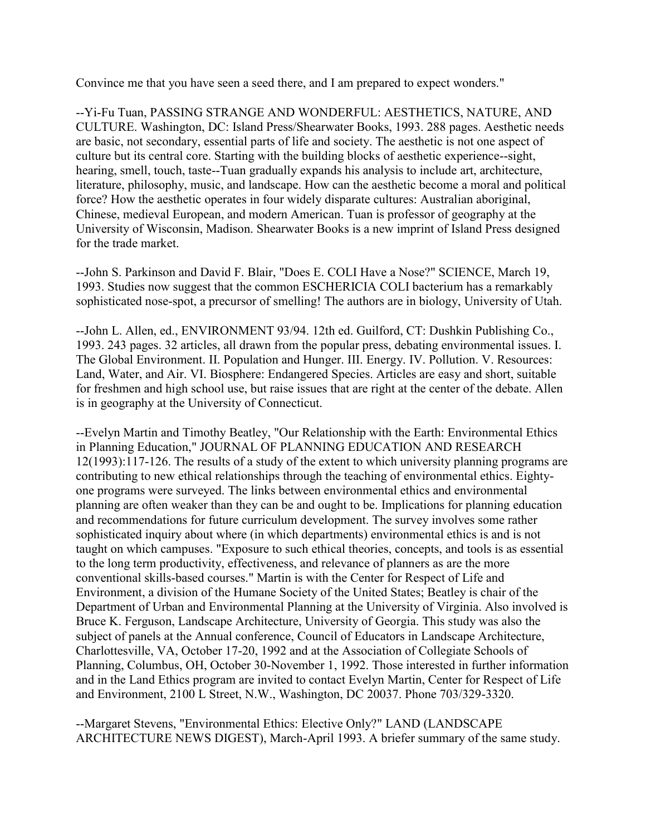Convince me that you have seen a seed there, and I am prepared to expect wonders."

--Yi-Fu Tuan, PASSING STRANGE AND WONDERFUL: AESTHETICS, NATURE, AND CULTURE. Washington, DC: Island Press/Shearwater Books, 1993. 288 pages. Aesthetic needs are basic, not secondary, essential parts of life and society. The aesthetic is not one aspect of culture but its central core. Starting with the building blocks of aesthetic experience--sight, hearing, smell, touch, taste--Tuan gradually expands his analysis to include art, architecture, literature, philosophy, music, and landscape. How can the aesthetic become a moral and political force? How the aesthetic operates in four widely disparate cultures: Australian aboriginal, Chinese, medieval European, and modern American. Tuan is professor of geography at the University of Wisconsin, Madison. Shearwater Books is a new imprint of Island Press designed for the trade market.

--John S. Parkinson and David F. Blair, "Does E. COLI Have a Nose?" SCIENCE, March 19, 1993. Studies now suggest that the common ESCHERICIA COLI bacterium has a remarkably sophisticated nose-spot, a precursor of smelling! The authors are in biology, University of Utah.

--John L. Allen, ed., ENVIRONMENT 93/94. 12th ed. Guilford, CT: Dushkin Publishing Co., 1993. 243 pages. 32 articles, all drawn from the popular press, debating environmental issues. I. The Global Environment. II. Population and Hunger. III. Energy. IV. Pollution. V. Resources: Land, Water, and Air. VI. Biosphere: Endangered Species. Articles are easy and short, suitable for freshmen and high school use, but raise issues that are right at the center of the debate. Allen is in geography at the University of Connecticut.

--Evelyn Martin and Timothy Beatley, "Our Relationship with the Earth: Environmental Ethics in Planning Education," JOURNAL OF PLANNING EDUCATION AND RESEARCH 12(1993):117-126. The results of a study of the extent to which university planning programs are contributing to new ethical relationships through the teaching of environmental ethics. Eightyone programs were surveyed. The links between environmental ethics and environmental planning are often weaker than they can be and ought to be. Implications for planning education and recommendations for future curriculum development. The survey involves some rather sophisticated inquiry about where (in which departments) environmental ethics is and is not taught on which campuses. "Exposure to such ethical theories, concepts, and tools is as essential to the long term productivity, effectiveness, and relevance of planners as are the more conventional skills-based courses." Martin is with the Center for Respect of Life and Environment, a division of the Humane Society of the United States; Beatley is chair of the Department of Urban and Environmental Planning at the University of Virginia. Also involved is Bruce K. Ferguson, Landscape Architecture, University of Georgia. This study was also the subject of panels at the Annual conference, Council of Educators in Landscape Architecture, Charlottesville, VA, October 17-20, 1992 and at the Association of Collegiate Schools of Planning, Columbus, OH, October 30-November 1, 1992. Those interested in further information and in the Land Ethics program are invited to contact Evelyn Martin, Center for Respect of Life and Environment, 2100 L Street, N.W., Washington, DC 20037. Phone 703/329-3320.

--Margaret Stevens, "Environmental Ethics: Elective Only?" LAND (LANDSCAPE ARCHITECTURE NEWS DIGEST), March-April 1993. A briefer summary of the same study.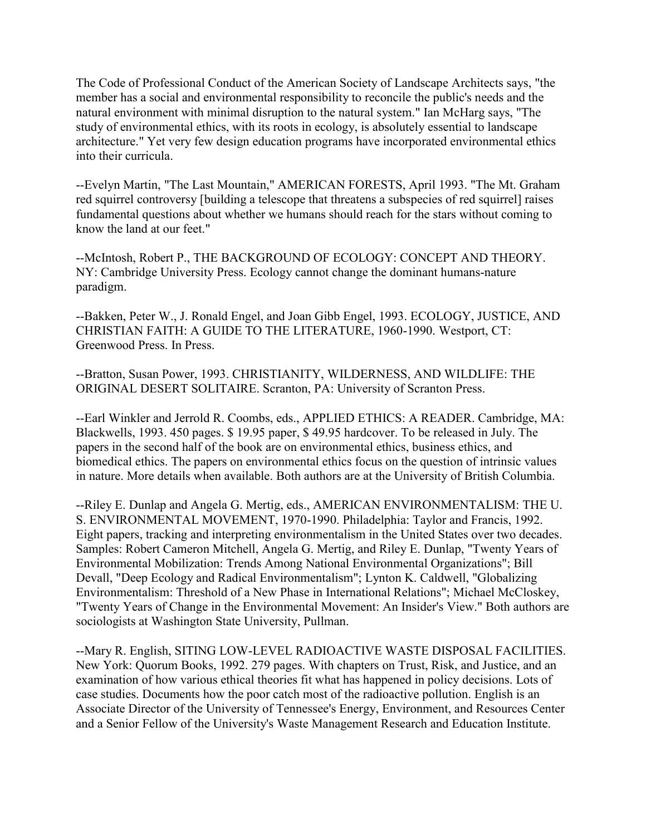The Code of Professional Conduct of the American Society of Landscape Architects says, "the member has a social and environmental responsibility to reconcile the public's needs and the natural environment with minimal disruption to the natural system." Ian McHarg says, "The study of environmental ethics, with its roots in ecology, is absolutely essential to landscape architecture." Yet very few design education programs have incorporated environmental ethics into their curricula.

--Evelyn Martin, "The Last Mountain," AMERICAN FORESTS, April 1993. "The Mt. Graham red squirrel controversy [building a telescope that threatens a subspecies of red squirrel] raises fundamental questions about whether we humans should reach for the stars without coming to know the land at our feet."

--McIntosh, Robert P., THE BACKGROUND OF ECOLOGY: CONCEPT AND THEORY. NY: Cambridge University Press. Ecology cannot change the dominant humans-nature paradigm.

--Bakken, Peter W., J. Ronald Engel, and Joan Gibb Engel, 1993. ECOLOGY, JUSTICE, AND CHRISTIAN FAITH: A GUIDE TO THE LITERATURE, 1960-1990. Westport, CT: Greenwood Press. In Press.

--Bratton, Susan Power, 1993. CHRISTIANITY, WILDERNESS, AND WILDLIFE: THE ORIGINAL DESERT SOLITAIRE. Scranton, PA: University of Scranton Press.

--Earl Winkler and Jerrold R. Coombs, eds., APPLIED ETHICS: A READER. Cambridge, MA: Blackwells, 1993. 450 pages. \$ 19.95 paper, \$ 49.95 hardcover. To be released in July. The papers in the second half of the book are on environmental ethics, business ethics, and biomedical ethics. The papers on environmental ethics focus on the question of intrinsic values in nature. More details when available. Both authors are at the University of British Columbia.

--Riley E. Dunlap and Angela G. Mertig, eds., AMERICAN ENVIRONMENTALISM: THE U. S. ENVIRONMENTAL MOVEMENT, 1970-1990. Philadelphia: Taylor and Francis, 1992. Eight papers, tracking and interpreting environmentalism in the United States over two decades. Samples: Robert Cameron Mitchell, Angela G. Mertig, and Riley E. Dunlap, "Twenty Years of Environmental Mobilization: Trends Among National Environmental Organizations"; Bill Devall, "Deep Ecology and Radical Environmentalism"; Lynton K. Caldwell, "Globalizing Environmentalism: Threshold of a New Phase in International Relations"; Michael McCloskey, "Twenty Years of Change in the Environmental Movement: An Insider's View." Both authors are sociologists at Washington State University, Pullman.

--Mary R. English, SITING LOW-LEVEL RADIOACTIVE WASTE DISPOSAL FACILITIES. New York: Quorum Books, 1992. 279 pages. With chapters on Trust, Risk, and Justice, and an examination of how various ethical theories fit what has happened in policy decisions. Lots of case studies. Documents how the poor catch most of the radioactive pollution. English is an Associate Director of the University of Tennessee's Energy, Environment, and Resources Center and a Senior Fellow of the University's Waste Management Research and Education Institute.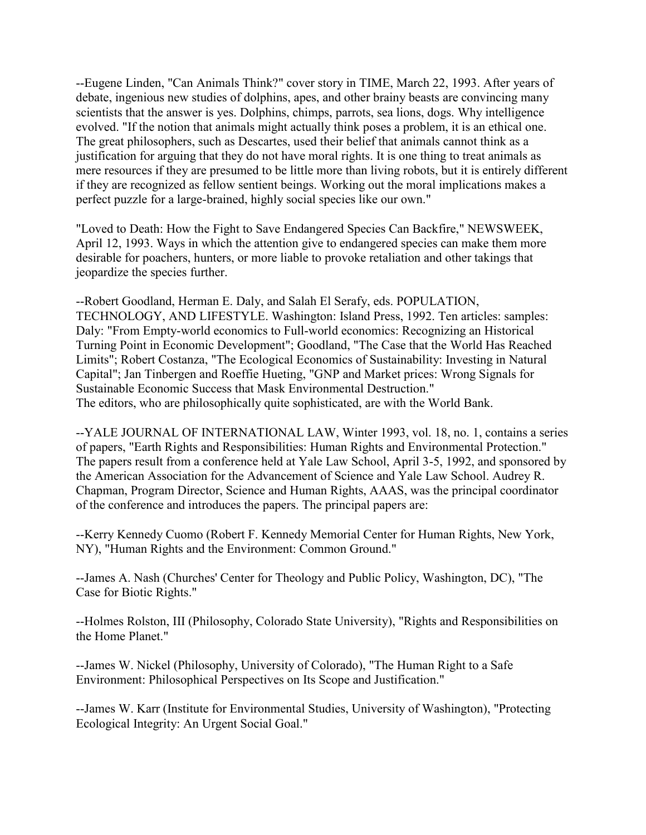--Eugene Linden, "Can Animals Think?" cover story in TIME, March 22, 1993. After years of debate, ingenious new studies of dolphins, apes, and other brainy beasts are convincing many scientists that the answer is yes. Dolphins, chimps, parrots, sea lions, dogs. Why intelligence evolved. "If the notion that animals might actually think poses a problem, it is an ethical one. The great philosophers, such as Descartes, used their belief that animals cannot think as a justification for arguing that they do not have moral rights. It is one thing to treat animals as mere resources if they are presumed to be little more than living robots, but it is entirely different if they are recognized as fellow sentient beings. Working out the moral implications makes a perfect puzzle for a large-brained, highly social species like our own."

"Loved to Death: How the Fight to Save Endangered Species Can Backfire," NEWSWEEK, April 12, 1993. Ways in which the attention give to endangered species can make them more desirable for poachers, hunters, or more liable to provoke retaliation and other takings that jeopardize the species further.

--Robert Goodland, Herman E. Daly, and Salah El Serafy, eds. POPULATION, TECHNOLOGY, AND LIFESTYLE. Washington: Island Press, 1992. Ten articles: samples: Daly: "From Empty-world economics to Full-world economics: Recognizing an Historical Turning Point in Economic Development"; Goodland, "The Case that the World Has Reached Limits"; Robert Costanza, "The Ecological Economics of Sustainability: Investing in Natural Capital"; Jan Tinbergen and Roeffie Hueting, "GNP and Market prices: Wrong Signals for Sustainable Economic Success that Mask Environmental Destruction." The editors, who are philosophically quite sophisticated, are with the World Bank.

--YALE JOURNAL OF INTERNATIONAL LAW, Winter 1993, vol. 18, no. 1, contains a series of papers, "Earth Rights and Responsibilities: Human Rights and Environmental Protection." The papers result from a conference held at Yale Law School, April 3-5, 1992, and sponsored by the American Association for the Advancement of Science and Yale Law School. Audrey R. Chapman, Program Director, Science and Human Rights, AAAS, was the principal coordinator of the conference and introduces the papers. The principal papers are:

--Kerry Kennedy Cuomo (Robert F. Kennedy Memorial Center for Human Rights, New York, NY), "Human Rights and the Environment: Common Ground."

--James A. Nash (Churches' Center for Theology and Public Policy, Washington, DC), "The Case for Biotic Rights."

--Holmes Rolston, III (Philosophy, Colorado State University), "Rights and Responsibilities on the Home Planet."

--James W. Nickel (Philosophy, University of Colorado), "The Human Right to a Safe Environment: Philosophical Perspectives on Its Scope and Justification."

--James W. Karr (Institute for Environmental Studies, University of Washington), "Protecting Ecological Integrity: An Urgent Social Goal."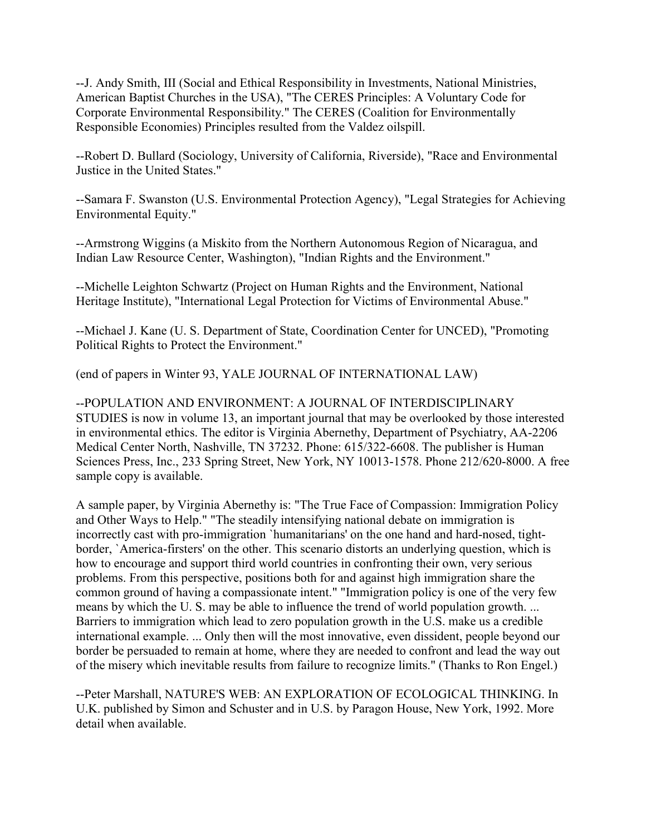--J. Andy Smith, III (Social and Ethical Responsibility in Investments, National Ministries, American Baptist Churches in the USA), "The CERES Principles: A Voluntary Code for Corporate Environmental Responsibility." The CERES (Coalition for Environmentally Responsible Economies) Principles resulted from the Valdez oilspill.

--Robert D. Bullard (Sociology, University of California, Riverside), "Race and Environmental Justice in the United States."

--Samara F. Swanston (U.S. Environmental Protection Agency), "Legal Strategies for Achieving Environmental Equity."

--Armstrong Wiggins (a Miskito from the Northern Autonomous Region of Nicaragua, and Indian Law Resource Center, Washington), "Indian Rights and the Environment."

--Michelle Leighton Schwartz (Project on Human Rights and the Environment, National Heritage Institute), "International Legal Protection for Victims of Environmental Abuse."

--Michael J. Kane (U. S. Department of State, Coordination Center for UNCED), "Promoting Political Rights to Protect the Environment."

(end of papers in Winter 93, YALE JOURNAL OF INTERNATIONAL LAW)

--POPULATION AND ENVIRONMENT: A JOURNAL OF INTERDISCIPLINARY STUDIES is now in volume 13, an important journal that may be overlooked by those interested in environmental ethics. The editor is Virginia Abernethy, Department of Psychiatry, AA-2206 Medical Center North, Nashville, TN 37232. Phone: 615/322-6608. The publisher is Human Sciences Press, Inc., 233 Spring Street, New York, NY 10013-1578. Phone 212/620-8000. A free sample copy is available.

A sample paper, by Virginia Abernethy is: "The True Face of Compassion: Immigration Policy and Other Ways to Help." "The steadily intensifying national debate on immigration is incorrectly cast with pro-immigration `humanitarians' on the one hand and hard-nosed, tightborder, `America-firsters' on the other. This scenario distorts an underlying question, which is how to encourage and support third world countries in confronting their own, very serious problems. From this perspective, positions both for and against high immigration share the common ground of having a compassionate intent." "Immigration policy is one of the very few means by which the U. S. may be able to influence the trend of world population growth. ... Barriers to immigration which lead to zero population growth in the U.S. make us a credible international example. ... Only then will the most innovative, even dissident, people beyond our border be persuaded to remain at home, where they are needed to confront and lead the way out of the misery which inevitable results from failure to recognize limits." (Thanks to Ron Engel.)

--Peter Marshall, NATURE'S WEB: AN EXPLORATION OF ECOLOGICAL THINKING. In U.K. published by Simon and Schuster and in U.S. by Paragon House, New York, 1992. More detail when available.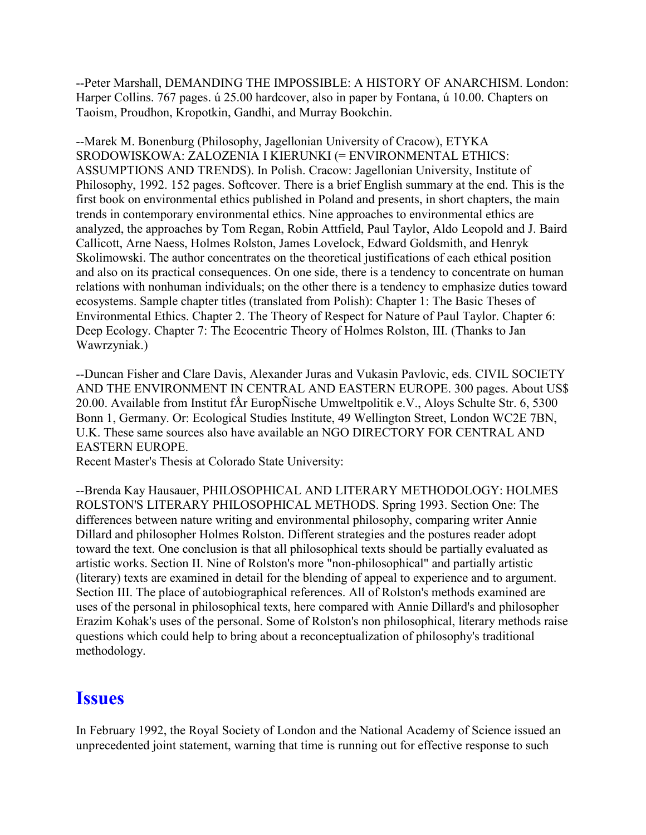--Peter Marshall, DEMANDING THE IMPOSSIBLE: A HISTORY OF ANARCHISM. London: Harper Collins. 767 pages. ú 25.00 hardcover, also in paper by Fontana, ú 10.00. Chapters on Taoism, Proudhon, Kropotkin, Gandhi, and Murray Bookchin.

--Marek M. Bonenburg (Philosophy, Jagellonian University of Cracow), ETYKA SRODOWISKOWA: ZALOZENIA I KIERUNKI (= ENVIRONMENTAL ETHICS: ASSUMPTIONS AND TRENDS). In Polish. Cracow: Jagellonian University, Institute of Philosophy, 1992. 152 pages. Softcover. There is a brief English summary at the end. This is the first book on environmental ethics published in Poland and presents, in short chapters, the main trends in contemporary environmental ethics. Nine approaches to environmental ethics are analyzed, the approaches by Tom Regan, Robin Attfield, Paul Taylor, Aldo Leopold and J. Baird Callicott, Arne Naess, Holmes Rolston, James Lovelock, Edward Goldsmith, and Henryk Skolimowski. The author concentrates on the theoretical justifications of each ethical position and also on its practical consequences. On one side, there is a tendency to concentrate on human relations with nonhuman individuals; on the other there is a tendency to emphasize duties toward ecosystems. Sample chapter titles (translated from Polish): Chapter 1: The Basic Theses of Environmental Ethics. Chapter 2. The Theory of Respect for Nature of Paul Taylor. Chapter 6: Deep Ecology. Chapter 7: The Ecocentric Theory of Holmes Rolston, III. (Thanks to Jan Wawrzyniak.)

--Duncan Fisher and Clare Davis, Alexander Juras and Vukasin Pavlovic, eds. CIVIL SOCIETY AND THE ENVIRONMENT IN CENTRAL AND EASTERN EUROPE. 300 pages. About US\$ 20.00. Available from Institut fÅr EuropÑische Umweltpolitik e.V., Aloys Schulte Str. 6, 5300 Bonn 1, Germany. Or: Ecological Studies Institute, 49 Wellington Street, London WC2E 7BN, U.K. These same sources also have available an NGO DIRECTORY FOR CENTRAL AND EASTERN EUROPE.

Recent Master's Thesis at Colorado State University:

--Brenda Kay Hausauer, PHILOSOPHICAL AND LITERARY METHODOLOGY: HOLMES ROLSTON'S LITERARY PHILOSOPHICAL METHODS. Spring 1993. Section One: The differences between nature writing and environmental philosophy, comparing writer Annie Dillard and philosopher Holmes Rolston. Different strategies and the postures reader adopt toward the text. One conclusion is that all philosophical texts should be partially evaluated as artistic works. Section II. Nine of Rolston's more "non-philosophical" and partially artistic (literary) texts are examined in detail for the blending of appeal to experience and to argument. Section III. The place of autobiographical references. All of Rolston's methods examined are uses of the personal in philosophical texts, here compared with Annie Dillard's and philosopher Erazim Kohak's uses of the personal. Some of Rolston's non philosophical, literary methods raise questions which could help to bring about a reconceptualization of philosophy's traditional methodology.

## **Issues**

In February 1992, the Royal Society of London and the National Academy of Science issued an unprecedented joint statement, warning that time is running out for effective response to such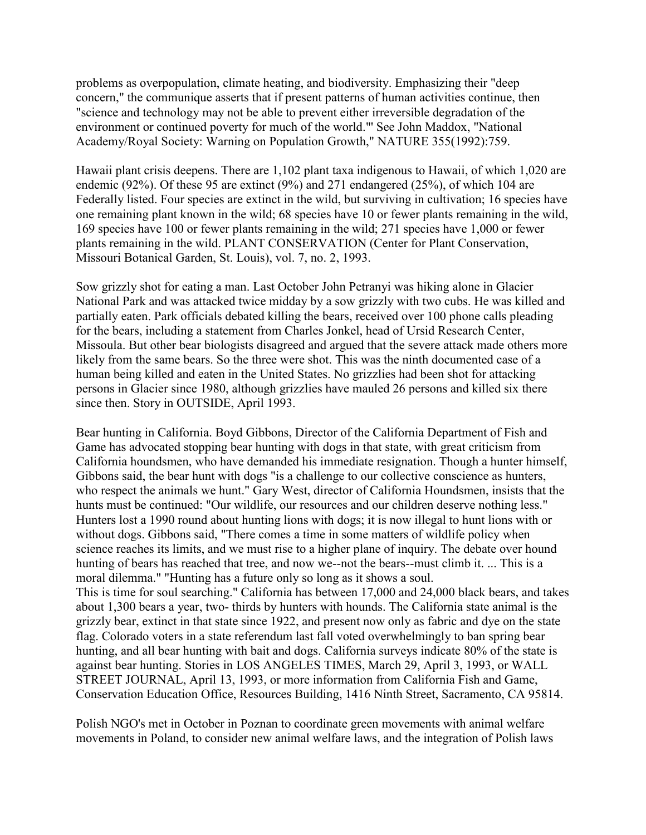problems as overpopulation, climate heating, and biodiversity. Emphasizing their "deep concern," the communique asserts that if present patterns of human activities continue, then "science and technology may not be able to prevent either irreversible degradation of the environment or continued poverty for much of the world."' See John Maddox, "National Academy/Royal Society: Warning on Population Growth," NATURE 355(1992):759.

Hawaii plant crisis deepens. There are 1,102 plant taxa indigenous to Hawaii, of which 1,020 are endemic (92%). Of these 95 are extinct (9%) and 271 endangered (25%), of which 104 are Federally listed. Four species are extinct in the wild, but surviving in cultivation; 16 species have one remaining plant known in the wild; 68 species have 10 or fewer plants remaining in the wild, 169 species have 100 or fewer plants remaining in the wild; 271 species have 1,000 or fewer plants remaining in the wild. PLANT CONSERVATION (Center for Plant Conservation, Missouri Botanical Garden, St. Louis), vol. 7, no. 2, 1993.

Sow grizzly shot for eating a man. Last October John Petranyi was hiking alone in Glacier National Park and was attacked twice midday by a sow grizzly with two cubs. He was killed and partially eaten. Park officials debated killing the bears, received over 100 phone calls pleading for the bears, including a statement from Charles Jonkel, head of Ursid Research Center, Missoula. But other bear biologists disagreed and argued that the severe attack made others more likely from the same bears. So the three were shot. This was the ninth documented case of a human being killed and eaten in the United States. No grizzlies had been shot for attacking persons in Glacier since 1980, although grizzlies have mauled 26 persons and killed six there since then. Story in OUTSIDE, April 1993.

Bear hunting in California. Boyd Gibbons, Director of the California Department of Fish and Game has advocated stopping bear hunting with dogs in that state, with great criticism from California houndsmen, who have demanded his immediate resignation. Though a hunter himself, Gibbons said, the bear hunt with dogs "is a challenge to our collective conscience as hunters, who respect the animals we hunt." Gary West, director of California Houndsmen, insists that the hunts must be continued: "Our wildlife, our resources and our children deserve nothing less." Hunters lost a 1990 round about hunting lions with dogs; it is now illegal to hunt lions with or without dogs. Gibbons said, "There comes a time in some matters of wildlife policy when science reaches its limits, and we must rise to a higher plane of inquiry. The debate over hound hunting of bears has reached that tree, and now we--not the bears--must climb it. ... This is a moral dilemma." "Hunting has a future only so long as it shows a soul. This is time for soul searching." California has between 17,000 and 24,000 black bears, and takes about 1,300 bears a year, two- thirds by hunters with hounds. The California state animal is the grizzly bear, extinct in that state since 1922, and present now only as fabric and dye on the state flag. Colorado voters in a state referendum last fall voted overwhelmingly to ban spring bear hunting, and all bear hunting with bait and dogs. California surveys indicate 80% of the state is against bear hunting. Stories in LOS ANGELES TIMES, March 29, April 3, 1993, or WALL STREET JOURNAL, April 13, 1993, or more information from California Fish and Game,

Conservation Education Office, Resources Building, 1416 Ninth Street, Sacramento, CA 95814. Polish NGO's met in October in Poznan to coordinate green movements with animal welfare

movements in Poland, to consider new animal welfare laws, and the integration of Polish laws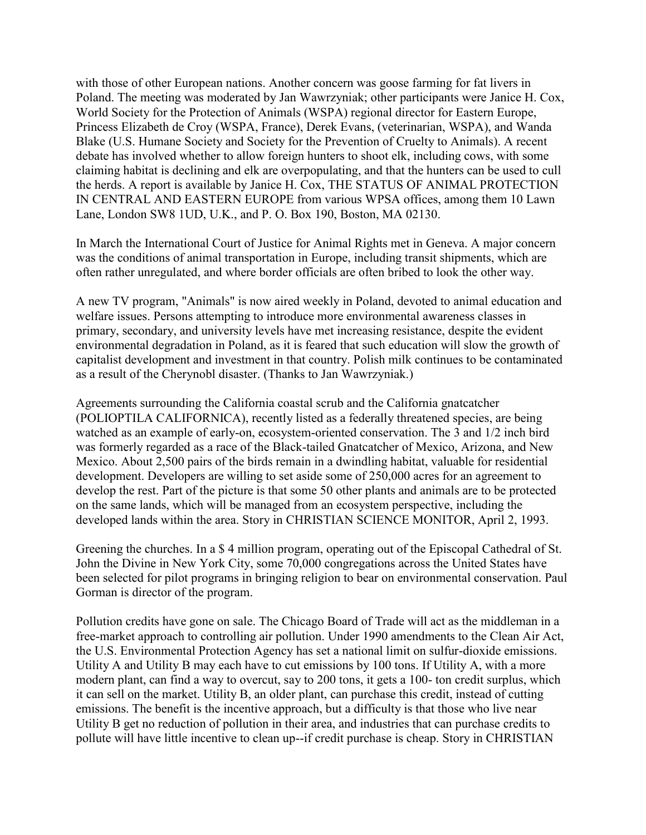with those of other European nations. Another concern was goose farming for fat livers in Poland. The meeting was moderated by Jan Wawrzyniak; other participants were Janice H. Cox, World Society for the Protection of Animals (WSPA) regional director for Eastern Europe, Princess Elizabeth de Croy (WSPA, France), Derek Evans, (veterinarian, WSPA), and Wanda Blake (U.S. Humane Society and Society for the Prevention of Cruelty to Animals). A recent debate has involved whether to allow foreign hunters to shoot elk, including cows, with some claiming habitat is declining and elk are overpopulating, and that the hunters can be used to cull the herds. A report is available by Janice H. Cox, THE STATUS OF ANIMAL PROTECTION IN CENTRAL AND EASTERN EUROPE from various WPSA offices, among them 10 Lawn Lane, London SW8 1UD, U.K., and P. O. Box 190, Boston, MA 02130.

In March the International Court of Justice for Animal Rights met in Geneva. A major concern was the conditions of animal transportation in Europe, including transit shipments, which are often rather unregulated, and where border officials are often bribed to look the other way.

A new TV program, "Animals" is now aired weekly in Poland, devoted to animal education and welfare issues. Persons attempting to introduce more environmental awareness classes in primary, secondary, and university levels have met increasing resistance, despite the evident environmental degradation in Poland, as it is feared that such education will slow the growth of capitalist development and investment in that country. Polish milk continues to be contaminated as a result of the Cherynobl disaster. (Thanks to Jan Wawrzyniak.)

Agreements surrounding the California coastal scrub and the California gnatcatcher (POLIOPTILA CALIFORNICA), recently listed as a federally threatened species, are being watched as an example of early-on, ecosystem-oriented conservation. The 3 and 1/2 inch bird was formerly regarded as a race of the Black-tailed Gnatcatcher of Mexico, Arizona, and New Mexico. About 2,500 pairs of the birds remain in a dwindling habitat, valuable for residential development. Developers are willing to set aside some of 250,000 acres for an agreement to develop the rest. Part of the picture is that some 50 other plants and animals are to be protected on the same lands, which will be managed from an ecosystem perspective, including the developed lands within the area. Story in CHRISTIAN SCIENCE MONITOR, April 2, 1993.

Greening the churches. In a \$ 4 million program, operating out of the Episcopal Cathedral of St. John the Divine in New York City, some 70,000 congregations across the United States have been selected for pilot programs in bringing religion to bear on environmental conservation. Paul Gorman is director of the program.

Pollution credits have gone on sale. The Chicago Board of Trade will act as the middleman in a free-market approach to controlling air pollution. Under 1990 amendments to the Clean Air Act, the U.S. Environmental Protection Agency has set a national limit on sulfur-dioxide emissions. Utility A and Utility B may each have to cut emissions by 100 tons. If Utility A, with a more modern plant, can find a way to overcut, say to 200 tons, it gets a 100- ton credit surplus, which it can sell on the market. Utility B, an older plant, can purchase this credit, instead of cutting emissions. The benefit is the incentive approach, but a difficulty is that those who live near Utility B get no reduction of pollution in their area, and industries that can purchase credits to pollute will have little incentive to clean up--if credit purchase is cheap. Story in CHRISTIAN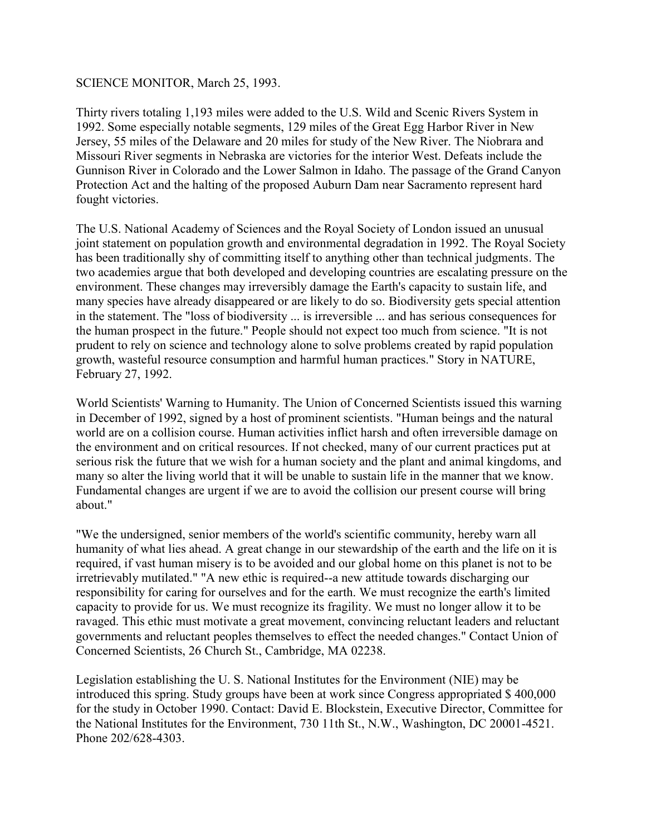#### SCIENCE MONITOR, March 25, 1993.

Thirty rivers totaling 1,193 miles were added to the U.S. Wild and Scenic Rivers System in 1992. Some especially notable segments, 129 miles of the Great Egg Harbor River in New Jersey, 55 miles of the Delaware and 20 miles for study of the New River. The Niobrara and Missouri River segments in Nebraska are victories for the interior West. Defeats include the Gunnison River in Colorado and the Lower Salmon in Idaho. The passage of the Grand Canyon Protection Act and the halting of the proposed Auburn Dam near Sacramento represent hard fought victories.

The U.S. National Academy of Sciences and the Royal Society of London issued an unusual joint statement on population growth and environmental degradation in 1992. The Royal Society has been traditionally shy of committing itself to anything other than technical judgments. The two academies argue that both developed and developing countries are escalating pressure on the environment. These changes may irreversibly damage the Earth's capacity to sustain life, and many species have already disappeared or are likely to do so. Biodiversity gets special attention in the statement. The "loss of biodiversity ... is irreversible ... and has serious consequences for the human prospect in the future." People should not expect too much from science. "It is not prudent to rely on science and technology alone to solve problems created by rapid population growth, wasteful resource consumption and harmful human practices." Story in NATURE, February 27, 1992.

World Scientists' Warning to Humanity. The Union of Concerned Scientists issued this warning in December of 1992, signed by a host of prominent scientists. "Human beings and the natural world are on a collision course. Human activities inflict harsh and often irreversible damage on the environment and on critical resources. If not checked, many of our current practices put at serious risk the future that we wish for a human society and the plant and animal kingdoms, and many so alter the living world that it will be unable to sustain life in the manner that we know. Fundamental changes are urgent if we are to avoid the collision our present course will bring about."

"We the undersigned, senior members of the world's scientific community, hereby warn all humanity of what lies ahead. A great change in our stewardship of the earth and the life on it is required, if vast human misery is to be avoided and our global home on this planet is not to be irretrievably mutilated." "A new ethic is required--a new attitude towards discharging our responsibility for caring for ourselves and for the earth. We must recognize the earth's limited capacity to provide for us. We must recognize its fragility. We must no longer allow it to be ravaged. This ethic must motivate a great movement, convincing reluctant leaders and reluctant governments and reluctant peoples themselves to effect the needed changes." Contact Union of Concerned Scientists, 26 Church St., Cambridge, MA 02238.

Legislation establishing the U. S. National Institutes for the Environment (NIE) may be introduced this spring. Study groups have been at work since Congress appropriated \$ 400,000 for the study in October 1990. Contact: David E. Blockstein, Executive Director, Committee for the National Institutes for the Environment, 730 11th St., N.W., Washington, DC 20001-4521. Phone 202/628-4303.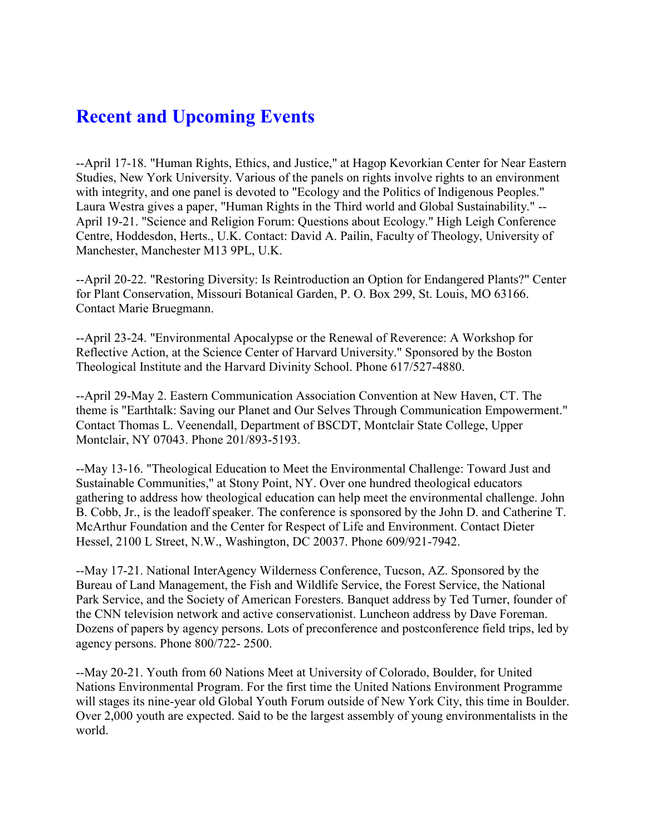## **Recent and Upcoming Events**

--April 17-18. "Human Rights, Ethics, and Justice," at Hagop Kevorkian Center for Near Eastern Studies, New York University. Various of the panels on rights involve rights to an environment with integrity, and one panel is devoted to "Ecology and the Politics of Indigenous Peoples." Laura Westra gives a paper, "Human Rights in the Third world and Global Sustainability." -- April 19-21. "Science and Religion Forum: Questions about Ecology." High Leigh Conference Centre, Hoddesdon, Herts., U.K. Contact: David A. Pailin, Faculty of Theology, University of Manchester, Manchester M13 9PL, U.K.

--April 20-22. "Restoring Diversity: Is Reintroduction an Option for Endangered Plants?" Center for Plant Conservation, Missouri Botanical Garden, P. O. Box 299, St. Louis, MO 63166. Contact Marie Bruegmann.

--April 23-24. "Environmental Apocalypse or the Renewal of Reverence: A Workshop for Reflective Action, at the Science Center of Harvard University." Sponsored by the Boston Theological Institute and the Harvard Divinity School. Phone 617/527-4880.

--April 29-May 2. Eastern Communication Association Convention at New Haven, CT. The theme is "Earthtalk: Saving our Planet and Our Selves Through Communication Empowerment." Contact Thomas L. Veenendall, Department of BSCDT, Montclair State College, Upper Montclair, NY 07043. Phone 201/893-5193.

--May 13-16. "Theological Education to Meet the Environmental Challenge: Toward Just and Sustainable Communities," at Stony Point, NY. Over one hundred theological educators gathering to address how theological education can help meet the environmental challenge. John B. Cobb, Jr., is the leadoff speaker. The conference is sponsored by the John D. and Catherine T. McArthur Foundation and the Center for Respect of Life and Environment. Contact Dieter Hessel, 2100 L Street, N.W., Washington, DC 20037. Phone 609/921-7942.

--May 17-21. National InterAgency Wilderness Conference, Tucson, AZ. Sponsored by the Bureau of Land Management, the Fish and Wildlife Service, the Forest Service, the National Park Service, and the Society of American Foresters. Banquet address by Ted Turner, founder of the CNN television network and active conservationist. Luncheon address by Dave Foreman. Dozens of papers by agency persons. Lots of preconference and postconference field trips, led by agency persons. Phone 800/722- 2500.

--May 20-21. Youth from 60 Nations Meet at University of Colorado, Boulder, for United Nations Environmental Program. For the first time the United Nations Environment Programme will stages its nine-year old Global Youth Forum outside of New York City, this time in Boulder. Over 2,000 youth are expected. Said to be the largest assembly of young environmentalists in the world.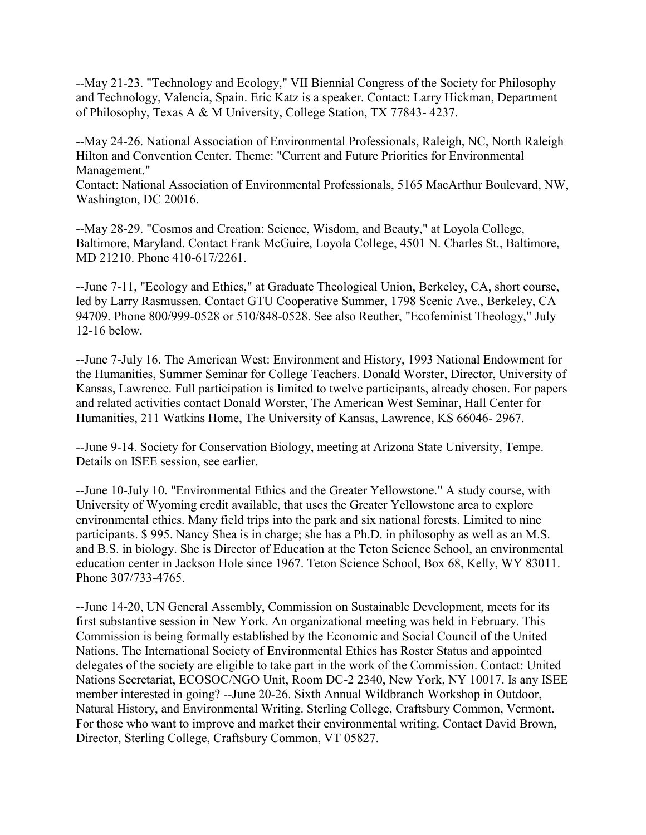--May 21-23. "Technology and Ecology," VII Biennial Congress of the Society for Philosophy and Technology, Valencia, Spain. Eric Katz is a speaker. Contact: Larry Hickman, Department of Philosophy, Texas A & M University, College Station, TX 77843- 4237.

--May 24-26. National Association of Environmental Professionals, Raleigh, NC, North Raleigh Hilton and Convention Center. Theme: "Current and Future Priorities for Environmental Management."

Contact: National Association of Environmental Professionals, 5165 MacArthur Boulevard, NW, Washington, DC 20016.

--May 28-29. "Cosmos and Creation: Science, Wisdom, and Beauty," at Loyola College, Baltimore, Maryland. Contact Frank McGuire, Loyola College, 4501 N. Charles St., Baltimore, MD 21210. Phone 410-617/2261.

--June 7-11, "Ecology and Ethics," at Graduate Theological Union, Berkeley, CA, short course, led by Larry Rasmussen. Contact GTU Cooperative Summer, 1798 Scenic Ave., Berkeley, CA 94709. Phone 800/999-0528 or 510/848-0528. See also Reuther, "Ecofeminist Theology," July 12-16 below.

--June 7-July 16. The American West: Environment and History, 1993 National Endowment for the Humanities, Summer Seminar for College Teachers. Donald Worster, Director, University of Kansas, Lawrence. Full participation is limited to twelve participants, already chosen. For papers and related activities contact Donald Worster, The American West Seminar, Hall Center for Humanities, 211 Watkins Home, The University of Kansas, Lawrence, KS 66046- 2967.

--June 9-14. Society for Conservation Biology, meeting at Arizona State University, Tempe. Details on ISEE session, see earlier.

--June 10-July 10. "Environmental Ethics and the Greater Yellowstone." A study course, with University of Wyoming credit available, that uses the Greater Yellowstone area to explore environmental ethics. Many field trips into the park and six national forests. Limited to nine participants. \$ 995. Nancy Shea is in charge; she has a Ph.D. in philosophy as well as an M.S. and B.S. in biology. She is Director of Education at the Teton Science School, an environmental education center in Jackson Hole since 1967. Teton Science School, Box 68, Kelly, WY 83011. Phone 307/733-4765.

--June 14-20, UN General Assembly, Commission on Sustainable Development, meets for its first substantive session in New York. An organizational meeting was held in February. This Commission is being formally established by the Economic and Social Council of the United Nations. The International Society of Environmental Ethics has Roster Status and appointed delegates of the society are eligible to take part in the work of the Commission. Contact: United Nations Secretariat, ECOSOC/NGO Unit, Room DC-2 2340, New York, NY 10017. Is any ISEE member interested in going? --June 20-26. Sixth Annual Wildbranch Workshop in Outdoor, Natural History, and Environmental Writing. Sterling College, Craftsbury Common, Vermont. For those who want to improve and market their environmental writing. Contact David Brown, Director, Sterling College, Craftsbury Common, VT 05827.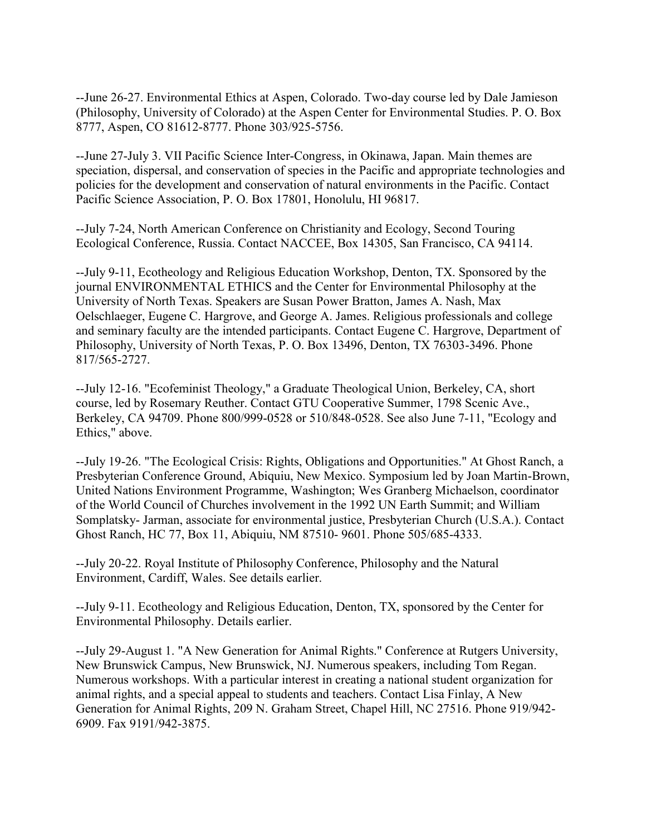--June 26-27. Environmental Ethics at Aspen, Colorado. Two-day course led by Dale Jamieson (Philosophy, University of Colorado) at the Aspen Center for Environmental Studies. P. O. Box 8777, Aspen, CO 81612-8777. Phone 303/925-5756.

--June 27-July 3. VII Pacific Science Inter-Congress, in Okinawa, Japan. Main themes are speciation, dispersal, and conservation of species in the Pacific and appropriate technologies and policies for the development and conservation of natural environments in the Pacific. Contact Pacific Science Association, P. O. Box 17801, Honolulu, HI 96817.

--July 7-24, North American Conference on Christianity and Ecology, Second Touring Ecological Conference, Russia. Contact NACCEE, Box 14305, San Francisco, CA 94114.

--July 9-11, Ecotheology and Religious Education Workshop, Denton, TX. Sponsored by the journal ENVIRONMENTAL ETHICS and the Center for Environmental Philosophy at the University of North Texas. Speakers are Susan Power Bratton, James A. Nash, Max Oelschlaeger, Eugene C. Hargrove, and George A. James. Religious professionals and college and seminary faculty are the intended participants. Contact Eugene C. Hargrove, Department of Philosophy, University of North Texas, P. O. Box 13496, Denton, TX 76303-3496. Phone 817/565-2727.

--July 12-16. "Ecofeminist Theology," a Graduate Theological Union, Berkeley, CA, short course, led by Rosemary Reuther. Contact GTU Cooperative Summer, 1798 Scenic Ave., Berkeley, CA 94709. Phone 800/999-0528 or 510/848-0528. See also June 7-11, "Ecology and Ethics," above.

--July 19-26. "The Ecological Crisis: Rights, Obligations and Opportunities." At Ghost Ranch, a Presbyterian Conference Ground, Abiquiu, New Mexico. Symposium led by Joan Martin-Brown, United Nations Environment Programme, Washington; Wes Granberg Michaelson, coordinator of the World Council of Churches involvement in the 1992 UN Earth Summit; and William Somplatsky- Jarman, associate for environmental justice, Presbyterian Church (U.S.A.). Contact Ghost Ranch, HC 77, Box 11, Abiquiu, NM 87510- 9601. Phone 505/685-4333.

--July 20-22. Royal Institute of Philosophy Conference, Philosophy and the Natural Environment, Cardiff, Wales. See details earlier.

--July 9-11. Ecotheology and Religious Education, Denton, TX, sponsored by the Center for Environmental Philosophy. Details earlier.

--July 29-August 1. "A New Generation for Animal Rights." Conference at Rutgers University, New Brunswick Campus, New Brunswick, NJ. Numerous speakers, including Tom Regan. Numerous workshops. With a particular interest in creating a national student organization for animal rights, and a special appeal to students and teachers. Contact Lisa Finlay, A New Generation for Animal Rights, 209 N. Graham Street, Chapel Hill, NC 27516. Phone 919/942- 6909. Fax 9191/942-3875.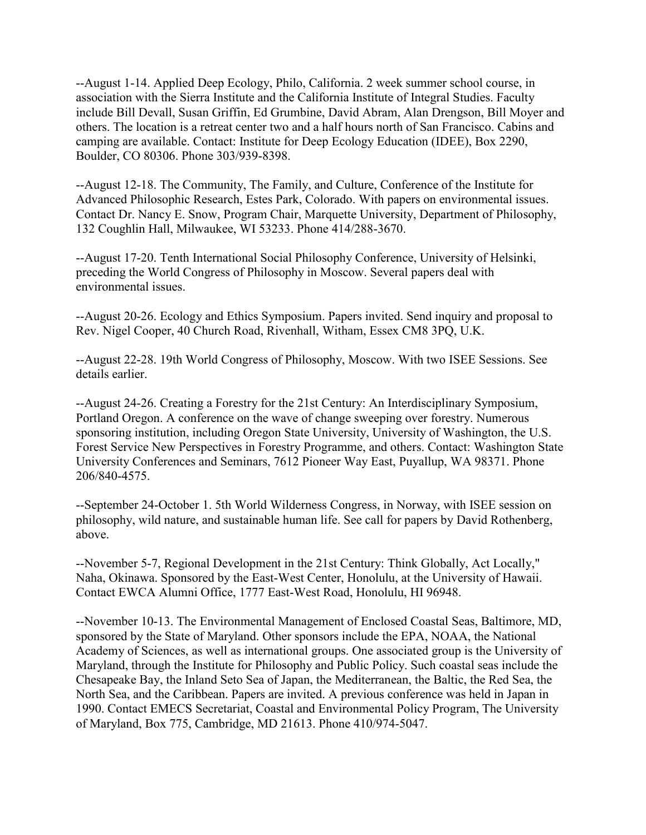--August 1-14. Applied Deep Ecology, Philo, California. 2 week summer school course, in association with the Sierra Institute and the California Institute of Integral Studies. Faculty include Bill Devall, Susan Griffin, Ed Grumbine, David Abram, Alan Drengson, Bill Moyer and others. The location is a retreat center two and a half hours north of San Francisco. Cabins and camping are available. Contact: Institute for Deep Ecology Education (IDEE), Box 2290, Boulder, CO 80306. Phone 303/939-8398.

--August 12-18. The Community, The Family, and Culture, Conference of the Institute for Advanced Philosophic Research, Estes Park, Colorado. With papers on environmental issues. Contact Dr. Nancy E. Snow, Program Chair, Marquette University, Department of Philosophy, 132 Coughlin Hall, Milwaukee, WI 53233. Phone 414/288-3670.

--August 17-20. Tenth International Social Philosophy Conference, University of Helsinki, preceding the World Congress of Philosophy in Moscow. Several papers deal with environmental issues.

--August 20-26. Ecology and Ethics Symposium. Papers invited. Send inquiry and proposal to Rev. Nigel Cooper, 40 Church Road, Rivenhall, Witham, Essex CM8 3PQ, U.K.

--August 22-28. 19th World Congress of Philosophy, Moscow. With two ISEE Sessions. See details earlier.

--August 24-26. Creating a Forestry for the 21st Century: An Interdisciplinary Symposium, Portland Oregon. A conference on the wave of change sweeping over forestry. Numerous sponsoring institution, including Oregon State University, University of Washington, the U.S. Forest Service New Perspectives in Forestry Programme, and others. Contact: Washington State University Conferences and Seminars, 7612 Pioneer Way East, Puyallup, WA 98371. Phone 206/840-4575.

--September 24-October 1. 5th World Wilderness Congress, in Norway, with ISEE session on philosophy, wild nature, and sustainable human life. See call for papers by David Rothenberg, above.

--November 5-7, Regional Development in the 21st Century: Think Globally, Act Locally," Naha, Okinawa. Sponsored by the East-West Center, Honolulu, at the University of Hawaii. Contact EWCA Alumni Office, 1777 East-West Road, Honolulu, HI 96948.

--November 10-13. The Environmental Management of Enclosed Coastal Seas, Baltimore, MD, sponsored by the State of Maryland. Other sponsors include the EPA, NOAA, the National Academy of Sciences, as well as international groups. One associated group is the University of Maryland, through the Institute for Philosophy and Public Policy. Such coastal seas include the Chesapeake Bay, the Inland Seto Sea of Japan, the Mediterranean, the Baltic, the Red Sea, the North Sea, and the Caribbean. Papers are invited. A previous conference was held in Japan in 1990. Contact EMECS Secretariat, Coastal and Environmental Policy Program, The University of Maryland, Box 775, Cambridge, MD 21613. Phone 410/974-5047.